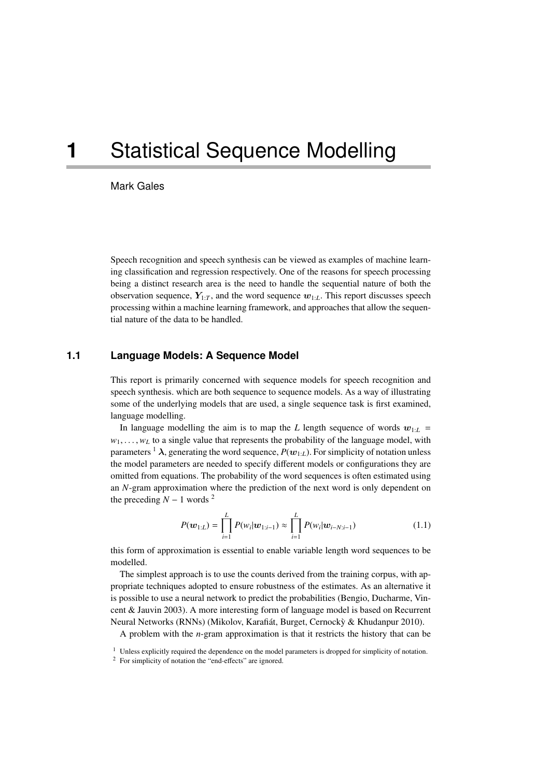# **1** Statistical Sequence Modelling

Mark Gales

Speech recognition and speech synthesis can be viewed as examples of machine learning classification and regression respectively. One of the reasons for speech processing being a distinct research area is the need to handle the sequential nature of both the observation sequence,  $Y_{1:T}$ , and the word sequence  $w_{1:L}$ . This report discusses speech processing within a machine learning framework, and approaches that allow the sequential nature of the data to be handled.

## **1.1 Language Models: A Sequence Model**

This report is primarily concerned with sequence models for speech recognition and speech synthesis. which are both sequence to sequence models. As a way of illustrating some of the underlying models that are used, a single sequence task is first examined, language modelling.

In language modelling the aim is to map the *L* length sequence of words  $w_{1:L}$  =  $w_1, \ldots, w_t$  to a single value that represents the probability of the language model, with parameters <sup>1</sup>  $\lambda$ , generating the word sequence,  $P(\mathbf{w}_{1:L})$ . For simplicity of notation unless the model parameters are needed to specify different models or configurations they are omitted from equations. The probability of the word sequences is often estimated using an *N*-gram approximation where the prediction of the next word is only dependent on the preceding  $N - 1$  words <sup>2</sup>

$$
P(\boldsymbol{w}_{1:L}) = \prod_{i=1}^{L} P(w_i | \boldsymbol{w}_{1:i-1}) \approx \prod_{i=1}^{L} P(w_i | \boldsymbol{w}_{i-N:i-1})
$$
(1.1)

this form of approximation is essential to enable variable length word sequences to be modelled.

The simplest approach is to use the counts derived from the training corpus, with appropriate techniques adopted to ensure robustness of the estimates. As an alternative it is possible to use a neural network to predict the probabilities (Bengio, Ducharme, Vincent & Jauvin 2003). A more interesting form of language model is based on Recurrent Neural Networks (RNNs) (Mikolov, Karafiát, Burget, Cernockỳ & Khudanpur 2010).

A problem with the *n*-gram approximation is that it restricts the history that can be

<sup>&</sup>lt;sup>1</sup> Unless explicitly required the dependence on the model parameters is dropped for simplicity of notation.

<sup>2</sup> For simplicity of notation the "end-effects" are ignored.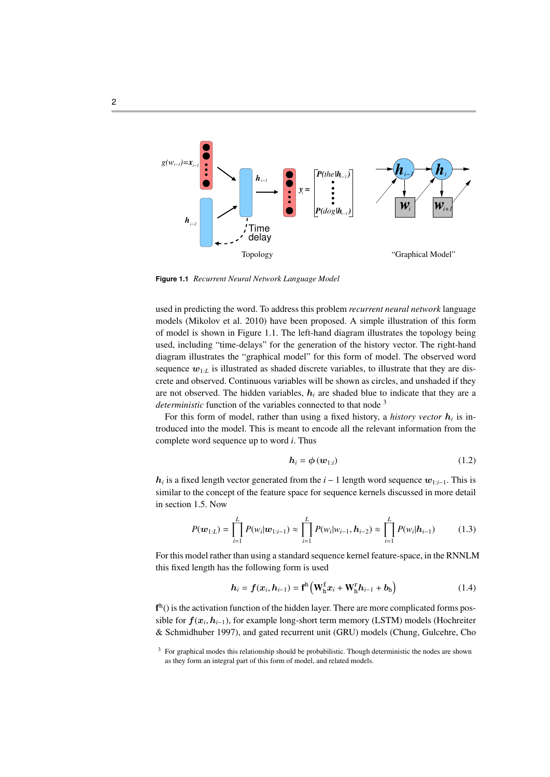

**Figure 1.1** *Recurrent Neural Network Language Model*

used in predicting the word. To address this problem *recurrent neural network* language models (Mikolov et al. 2010) have been proposed. A simple illustration of this form of model is shown in Figure 1.1. The left-hand diagram illustrates the topology being used, including "time-delays" for the generation of the history vector. The right-hand diagram illustrates the "graphical model" for this form of model. The observed word sequence  $w_{1:L}$  is illustrated as shaded discrete variables, to illustrate that they are discrete and observed. Continuous variables will be shown as circles, and unshaded if they are not observed. The hidden variables,  $h_i$  are shaded blue to indicate that they are a *deterministic* function of the variables connected to that node <sup>3</sup>

For this form of model, rather than using a fixed history, a *history vector* h*<sup>i</sup>* is introduced into the model. This is meant to encode all the relevant information from the complete word sequence up to word *i*. Thus

$$
\boldsymbol{h}_i = \boldsymbol{\phi}(\boldsymbol{w}_{1:i}) \tag{1.2}
$$

 $h_i$  is a fixed length vector generated from the *i* − 1 length word sequence  $w_{1:i-1}$ . This is similar to the concept of the feature space for sequence kernels discussed in more detail in section 1.5. Now

$$
P(\boldsymbol{w}_{1:L}) = \prod_{i=1}^{L} P(w_i | \boldsymbol{w}_{1:i-1}) \approx \prod_{i=1}^{L} P(w_i | w_{i-1}, \boldsymbol{h}_{i-2}) \approx \prod_{i=1}^{L} P(w_i | \boldsymbol{h}_{i-1})
$$
(1.3)

For this model rather than using a standard sequence kernel feature-space, in the RNNLM this fixed length has the following form is used

$$
h_i = f(x_i, h_{i-1}) = \mathbf{f}^{\mathrm{h}} \left( \mathbf{W}_{\mathrm{h}}^{\mathrm{f}} x_i + \mathbf{W}_{\mathrm{h}}^{\mathrm{r}} h_{i-1} + b_{\mathrm{h}} \right) \tag{1.4}
$$

 $f<sup>h</sup>(.)$  is the activation function of the hidden layer. There are more complicated forms possible for  $f(x_i, h_{i-1})$ , for example long-short term memory (LSTM) models (Hochreiter<br><sup>8</sup>x Sebmidluker 1007), and acted requirent unit (GBU) models (Chung, Gulesbre, Che & Schmidhuber 1997), and gated recurrent unit (GRU) models (Chung, Gulcehre, Cho

<sup>&</sup>lt;sup>3</sup> For graphical modes this relationship should be probabilistic. Though deterministic the nodes are shown as they form an integral part of this form of model, and related models.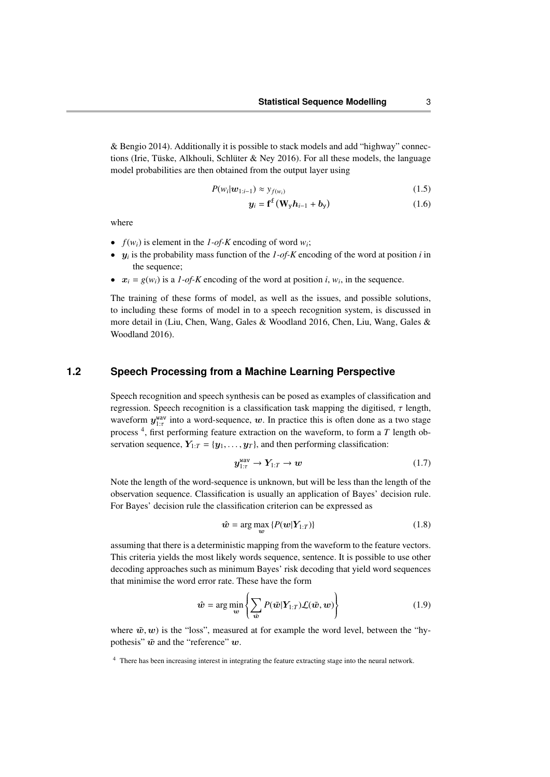& Bengio 2014). Additionally it is possible to stack models and add "highway" connections (Irie, Tüske, Alkhouli, Schlüter & Ney 2016). For all these models, the language model probabilities are then obtained from the output layer using

$$
P(w_i|\boldsymbol{w}_{1:i-1}) \approx y_{f(w_i)}
$$
\n(1.5)

$$
y_i = \mathbf{f}^f \left( \mathbf{W}_y \mathbf{h}_{i-1} + \mathbf{b}_y \right) \tag{1.6}
$$

where

- $f(w_i)$  is element in the *1-of-K* encoding of word  $w_i$ ;
- $y_i$  is the probability mass function of the  $1$ -of-K encoding of the word at position *i* in the sequence;
- $x_i = g(w_i)$  is a *1-of-K* encoding of the word at position *i*,  $w_i$ , in the sequence.

The training of these forms of model, as well as the issues, and possible solutions, to including these forms of model in to a speech recognition system, is discussed in more detail in (Liu, Chen, Wang, Gales & Woodland 2016, Chen, Liu, Wang, Gales & Woodland 2016).

## **1.2 Speech Processing from a Machine Learning Perspective**

Speech recognition and speech synthesis can be posed as examples of classification and regression. Speech recognition is a classification task mapping the digitised,  $\tau$  length, waveform  $y_{1}^{\text{wav}}$  into a word-sequence, w. In practice this is often done as a two stage process<sup>4</sup>, first performing feature extraction on the waveform, to form a  $T$  length observation sequence,  $Y_{1:T} = \{y_1, \ldots, y_T\}$ , and then performing classification:

$$
y_{1:\tau}^{\text{wav}} \to Y_{1:\tau} \to w \tag{1.7}
$$

Note the length of the word-sequence is unknown, but will be less than the length of the observation sequence. Classification is usually an application of Bayes' decision rule. For Bayes' decision rule the classification criterion can be expressed as

$$
\hat{\mathbf{w}} = \arg \max_{\mathbf{w}} \{ P(\mathbf{w}|\mathbf{Y}_{1:T}) \} \tag{1.8}
$$

assuming that there is a deterministic mapping from the waveform to the feature vectors. This criteria yields the most likely words sequence, sentence. It is possible to use other decoding approaches such as minimum Bayes' risk decoding that yield word sequences that minimise the word error rate. These have the form

$$
\hat{\boldsymbol{w}} = \arg\min_{\boldsymbol{w}} \left\{ \sum_{\tilde{\boldsymbol{w}}} P(\tilde{\boldsymbol{w}}|\boldsymbol{Y}_{1:T}) \mathcal{L}(\tilde{\boldsymbol{w}}, \boldsymbol{w}) \right\} \tag{1.9}
$$

where  $\tilde{w}, w$ ) is the "loss", measured at for example the word level, between the "hypothesis"  $\tilde{w}$  and the "reference" w.

<sup>&</sup>lt;sup>4</sup> There has been increasing interest in integrating the feature extracting stage into the neural network.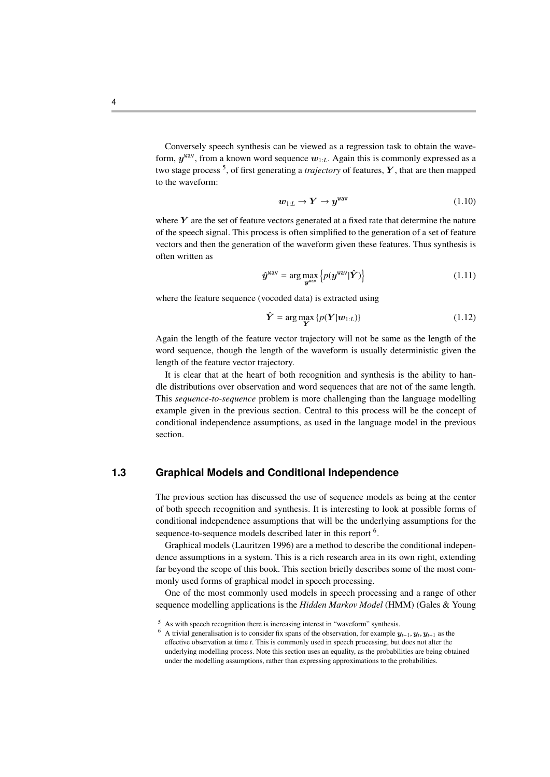Conversely speech synthesis can be viewed as a regression task to obtain the waveform,  $y^{\text{wav}}$ , from a known word sequence  $w_{1:L}$ . Again this is commonly expressed as a two stage process <sup>5</sup> , of first generating a *trajectory* of features, Y , that are then mapped to the waveform:

$$
w_{1:L} \to Y \to y^{\text{wav}} \tag{1.10}
$$

where  $Y$  are the set of feature vectors generated at a fixed rate that determine the nature of the speech signal. This process is often simplified to the generation of a set of feature vectors and then the generation of the waveform given these features. Thus synthesis is often written as

$$
\hat{\boldsymbol{y}}^{\text{wav}} = \arg \max_{\boldsymbol{y}^{\text{wav}}} \left\{ p(\boldsymbol{y}^{\text{wav}} | \hat{\boldsymbol{Y}}) \right\} \tag{1.11}
$$

where the feature sequence (vocoded data) is extracted using

$$
\hat{\boldsymbol{Y}} = \arg \max_{\boldsymbol{Y}} \{ p(\boldsymbol{Y}|\boldsymbol{w}_{1:L}) \} \tag{1.12}
$$

Again the length of the feature vector trajectory will not be same as the length of the word sequence, though the length of the waveform is usually deterministic given the length of the feature vector trajectory.

It is clear that at the heart of both recognition and synthesis is the ability to handle distributions over observation and word sequences that are not of the same length. This *sequence-to-sequence* problem is more challenging than the language modelling example given in the previous section. Central to this process will be the concept of conditional independence assumptions, as used in the language model in the previous section.

# **1.3 Graphical Models and Conditional Independence**

The previous section has discussed the use of sequence models as being at the center of both speech recognition and synthesis. It is interesting to look at possible forms of conditional independence assumptions that will be the underlying assumptions for the sequence-to-sequence models described later in this report <sup>6</sup>.

Graphical models (Lauritzen 1996) are a method to describe the conditional independence assumptions in a system. This is a rich research area in its own right, extending far beyond the scope of this book. This section briefly describes some of the most commonly used forms of graphical model in speech processing.

One of the most commonly used models in speech processing and a range of other sequence modelling applications is the *Hidden Markov Model* (HMM) (Gales & Young

<sup>5</sup> As with speech recognition there is increasing interest in "waveform" synthesis.

<sup>&</sup>lt;sup>6</sup> A trivial generalisation is to consider fix spans of the observation, for example  $y_{t-1}$ ,  $y_t$ ,  $y_{t+1}$  as the observation at time t. This is commonly used in spaceh processing, but does not alter the effective observation at time *t*. This is commonly used in speech processing, but does not alter the underlying modelling process. Note this section uses an equality, as the probabilities are being obtained under the modelling assumptions, rather than expressing approximations to the probabilities.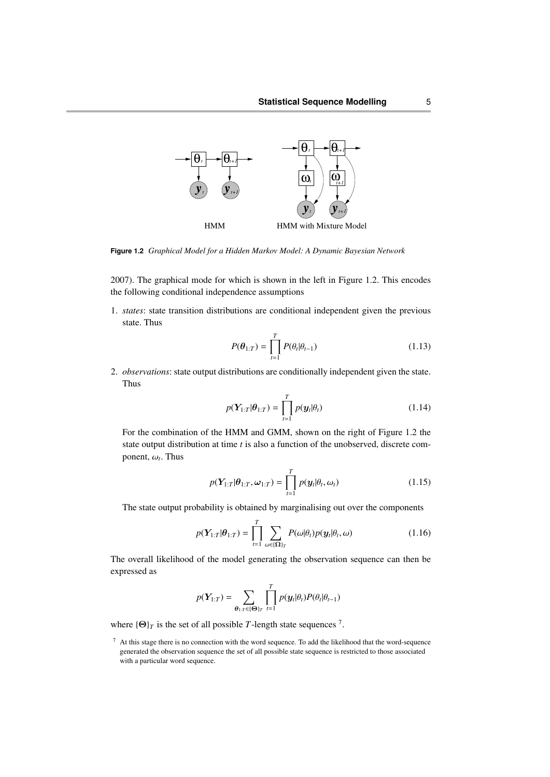

**Figure 1.2** *Graphical Model for a Hidden Markov Model: A Dynamic Bayesian Network*

2007). The graphical mode for which is shown in the left in Figure 1.2. This encodes the following conditional independence assumptions

1. *states*: state transition distributions are conditional independent given the previous state. Thus

$$
P(\boldsymbol{\theta}_{1:T}) = \prod_{t=1}^{T} P(\theta_t | \theta_{t-1})
$$
\n(1.13)

2. *observations*: state output distributions are conditionally independent given the state. Thus

$$
p(\boldsymbol{Y}_{1:T}|\boldsymbol{\theta}_{1:T}) = \prod_{t=1}^{T} p(\boldsymbol{y}_t|\boldsymbol{\theta}_t)
$$
\n(1.14)

For the combination of the HMM and GMM, shown on the right of Figure 1.2 the state output distribution at time *t* is also a function of the unobserved, discrete component,  $\omega_t$ . Thus

$$
p(\boldsymbol{Y}_{1:T}|\boldsymbol{\theta}_{1:T},\boldsymbol{\omega}_{1:T}) = \prod_{t=1}^{T} p(\boldsymbol{y}_t|\boldsymbol{\theta}_t,\boldsymbol{\omega}_t)
$$
(1.15)

The state output probability is obtained by marginalising out over the components

$$
p(\boldsymbol{Y}_{1:T}|\boldsymbol{\theta}_{1:T}) = \prod_{t=1}^{T} \sum_{\omega \in \{\boldsymbol{\Omega}\}_T} P(\omega|\boldsymbol{\theta}_t) p(\boldsymbol{y}_t|\boldsymbol{\theta}_t, \omega)
$$
(1.16)

The overall likelihood of the model generating the observation sequence can then be expressed as

$$
p(\boldsymbol{Y}_{1:T}) = \sum_{\boldsymbol{\theta}_{1:T} \in \{\boldsymbol{\Theta}\}_T} \prod_{t=1}^T p(\boldsymbol{y}_t|\boldsymbol{\theta}_t) P(\boldsymbol{\theta}_t|\boldsymbol{\theta}_{t-1})
$$

where  ${\{\Theta\}_T$  is the set of all possible *T*-length state sequences <sup>7</sup>.

 $<sup>7</sup>$  At this stage there is no connection with the word sequence. To add the likelihood that the word-sequence</sup> generated the observation sequence the set of all possible state sequence is restricted to those associated with a particular word sequence.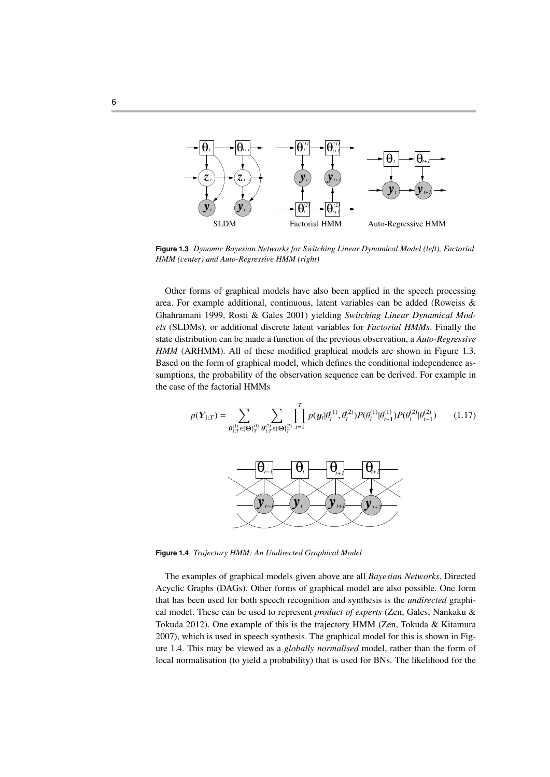

**Figure 1.3** *Dynamic Bayesian Networks for Switching Linear Dynamical Model (left), Factorial HMM (center) and Auto-Regressive HMM (right)*

Other forms of graphical models have also been applied in the speech processing area. For example additional, continuous, latent variables can be added (Roweiss & Ghahramani 1999, Rosti & Gales 2001) yielding *Switching Linear Dynamical Models* (SLDMs), or additional discrete latent variables for *Factorial HMMs*. Finally the state distribution can be made a function of the previous observation, a *Auto-Regressive HMM* (ARHMM). All of these modified graphical models are shown in Figure 1.3. Based on the form of graphical model, which defines the conditional independence assumptions, the probability of the observation sequence can be derived. For example in the case of the factorial HMMs

$$
p(\mathbf{Y}_{1:T}) = \sum_{\theta_{1:T}^{(1)} \in (\Theta)_{T}^{(1)}} \sum_{\theta_{1:T}^{(2)} \in (\Theta)_{T}^{(2)}} \prod_{t=1}^{T} p(\mathbf{y}_{t} | \theta_{t}^{(1)}, \theta_{t}^{(2)}) P(\theta_{t}^{(1)} | \theta_{t-1}^{(1)}) P(\theta_{t}^{(2)} | \theta_{t-1}^{(2)}) \qquad (1.17)
$$

**Figure 1.4** *Trajectory HMM: An Undirected Graphical Model*

The examples of graphical models given above are all *Bayesian Networks*, Directed Acyclic Graphs (DAGs). Other forms of graphical model are also possible. One form that has been used for both speech recognition and synthesis is the *undirected* graphical model. These can be used to represent *product of experts* (Zen, Gales, Nankaku & Tokuda 2012). One example of this is the trajectory HMM (Zen, Tokuda & Kitamura 2007), which is used in speech synthesis. The graphical model for this is shown in Figure 1.4. This may be viewed as a *globally normalised* model, rather than the form of local normalisation (to yield a probability) that is used for BNs. The likelihood for the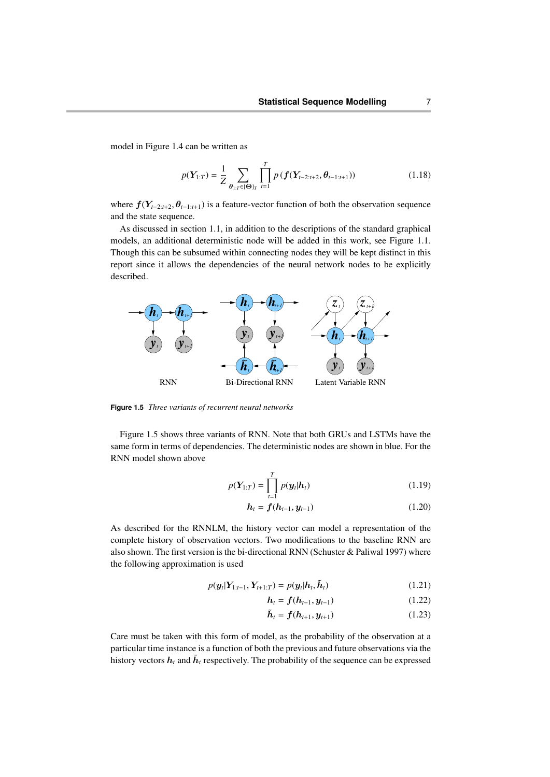model in Figure 1.4 can be written as

$$
p(\mathbf{Y}_{1:T}) = \frac{1}{Z} \sum_{\theta_{1:T} \in \{\mathbf{\Theta}\}_T} \prod_{t=1}^T p\left(\mathbf{f}(\mathbf{Y}_{t-2:t+2}, \theta_{t-1:t+1})\right) \tag{1.18}
$$

where <sup>f</sup>(Y*t*−2:*t*+2, <sup>θ</sup>*t*−1:*t*+1) is a feature-vector function of both the observation sequence and the state sequence.

As discussed in section 1.1, in addition to the descriptions of the standard graphical models, an additional deterministic node will be added in this work, see Figure 1.1. Though this can be subsumed within connecting nodes they will be kept distinct in this report since it allows the dependencies of the neural network nodes to be explicitly described.



**Figure 1.5** *Three variants of recurrent neural networks*

Figure 1.5 shows three variants of RNN. Note that both GRUs and LSTMs have the same form in terms of dependencies. The deterministic nodes are shown in blue. For the RNN model shown above

$$
p(Y_{1:T}) = \prod_{t=1}^{T} p(y_t | h_t)
$$
 (1.19)

$$
h_t = f(h_{t-1}, y_{t-1})
$$
\n(1.20)

As described for the RNNLM, the history vector can model a representation of the complete history of observation vectors. Two modifications to the baseline RNN are also shown. The first version is the bi-directional RNN (Schuster & Paliwal 1997) where the following approximation is used

$$
p(\mathbf{y}_t|\mathbf{Y}_{1:t-1}, \mathbf{Y}_{t+1:T}) = p(\mathbf{y}_t|\mathbf{h}_t, \tilde{\mathbf{h}}_t)
$$
\n(1.21)

$$
h_t = f(h_{t-1}, y_{t-1}) \tag{1.22}
$$

$$
\tilde{\bm{h}}_t = \bm{f}(\bm{h}_{t+1}, \bm{y}_{t+1}) \tag{1.23}
$$

Care must be taken with this form of model, as the probability of the observation at a particular time instance is a function of both the previous and future observations via the history vectors  $\bm{h}_t$  and  $\bm{\tilde{h}}_t$  respectively. The probability of the sequence can be expressed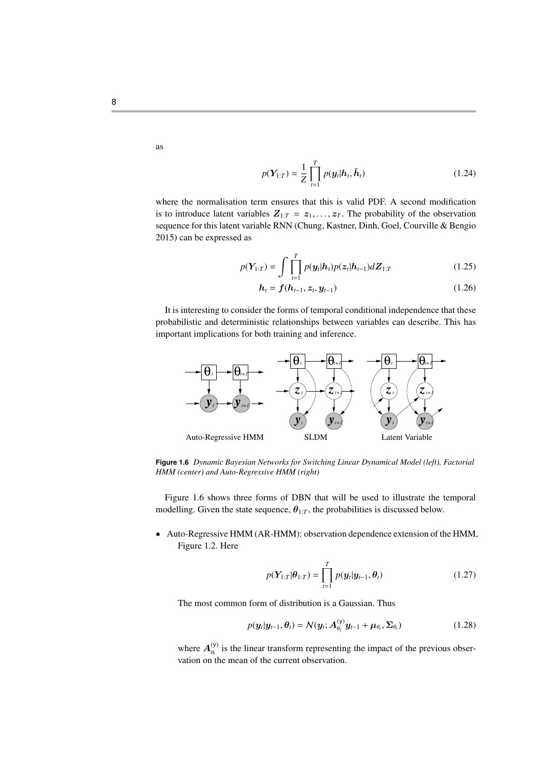as

8

$$
p(\boldsymbol{Y}_{1:T}) = \frac{1}{Z} \prod_{t=1}^{T} p(\boldsymbol{y}_t | \boldsymbol{h}_t, \tilde{\boldsymbol{h}}_t)
$$
(1.24)

where the normalisation term ensures that this is valid PDF. A second modification is to introduce latent variables  $Z_{1:T} = z_1, \ldots, z_T$ . The probability of the observation sequence for this latent variable RNN (Chung, Kastner, Dinh, Goel, Courville & Bengio 2015) can be expressed as

$$
p(Y_{1:T}) = \int \prod_{t=1}^{T} p(y_t | h_t) p(z_t | h_{t-1}) dZ_{1:T}
$$
 (1.25)

$$
h_t = f(h_{t-1}, z_t, y_{t-1})
$$
\n(1.26)

It is interesting to consider the forms of temporal conditional independence that these probabilistic and deterministic relationships between variables can describe. This has important implications for both training and inference.



**Figure 1.6** *Dynamic Bayesian Networks for Switching Linear Dynamical Model (left), Factorial HMM (center) and Auto-Regressive HMM (right)*

Figure 1.6 shows three forms of DBN that will be used to illustrate the temporal modelling. Given the state sequence,  $\theta_{1:T}$ , the probabilities is discussed below.

• Auto-Regressive HMM (AR-HMM): observation dependence extension of the HMM, Figure 1.2. Here

$$
p(\boldsymbol{Y}_{1:T}|\boldsymbol{\theta}_{1:T}) = \prod_{t=1}^{T} p(\boldsymbol{y}_t|\boldsymbol{y}_{t-1}, \boldsymbol{\theta}_t)
$$
(1.27)

The most common form of distribution is a Gaussian. Thus

$$
p(\mathbf{y}_t|\mathbf{y}_{t-1},\boldsymbol{\theta}_t) = \mathcal{N}(\mathbf{y}_t;\mathbf{A}_{\theta_t}^{(\mathbf{y})}\mathbf{y}_{t-1} + \boldsymbol{\mu}_{\theta_t}, \boldsymbol{\Sigma}_{\theta_t})
$$
(1.28)

where  $A_{\theta_i}^{(y)}$  is the linear transform representing the impact of the previous observation on the mean of the current observation.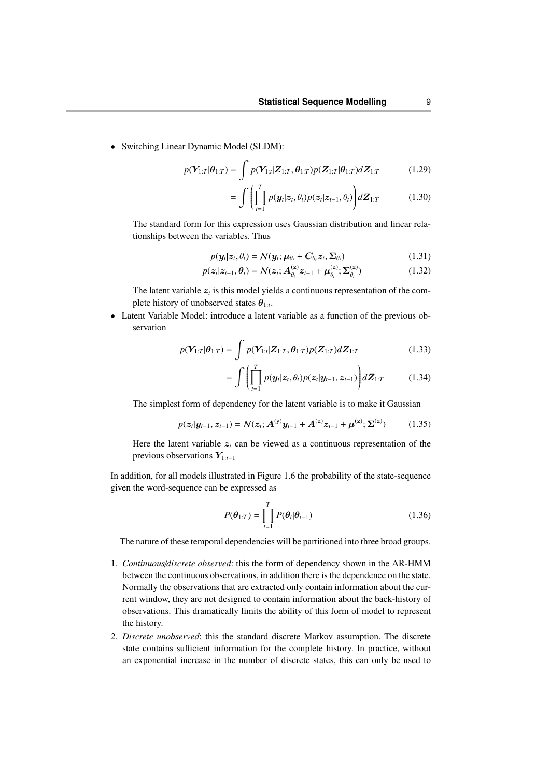• Switching Linear Dynamic Model (SLDM):

$$
p(Y_{1:T}|\theta_{1:T}) = \int p(Y_{1:t}|Z_{1:T}, \theta_{1:T}) p(Z_{1:T}|\theta_{1:T}) dZ_{1:T}
$$
 (1.29)

$$
= \int \left( \prod_{t=1}^{T} p(\boldsymbol{y}_t | \boldsymbol{z}_t, \theta_t) p(\boldsymbol{z}_t | \boldsymbol{z}_{t-1}, \theta_t) \right) d\boldsymbol{Z}_{1:T} \tag{1.30}
$$

The standard form for this expression uses Gaussian distribution and linear relationships between the variables. Thus

$$
p(\mathbf{y}_t|\mathbf{z}_t, \theta_t) = \mathcal{N}(\mathbf{y}_t; \boldsymbol{\mu}_{\theta_t} + \mathbf{C}_{\theta_t} \mathbf{z}_t, \boldsymbol{\Sigma}_{\theta_t})
$$
(1.31)

$$
p(z_t|z_{t-1}, \theta_t) = \mathcal{N}(z_t; A_{\theta_t}^{(z)} z_{t-1} + \mu_{\theta_t}^{(z)}; \Sigma_{\theta_t}^{(z)})
$$
(1.32)

The latent variable  $z_t$  is this model yields a continuous representation of the complete history of unobserved states  $\theta_{1:t}$ .

• Latent Variable Model: introduce a latent variable as a function of the previous observation

$$
p(Y_{1:T}|\theta_{1:T}) = \int p(Y_{1:T}|\mathbf{Z}_{1:T}, \theta_{1:T}) p(\mathbf{Z}_{1:T}) d\mathbf{Z}_{1:T}
$$
 (1.33)

$$
= \int \left( \prod_{t=1}^{T} p(\boldsymbol{y}_t | \boldsymbol{z}_t, \theta_t) p(\boldsymbol{z}_t | \boldsymbol{y}_{t-1}, \boldsymbol{z}_{t-1}) \right) d\boldsymbol{Z}_{1:T} \qquad (1.34)
$$

The simplest form of dependency for the latent variable is to make it Gaussian

$$
p(\mathbf{z}_t|\mathbf{y}_{t-1}, \mathbf{z}_{t-1}) = \mathcal{N}(\mathbf{z}_t; \mathbf{A}^{(y)}\mathbf{y}_{t-1} + \mathbf{A}^{(z)}\mathbf{z}_{t-1} + \boldsymbol{\mu}^{(z)}; \boldsymbol{\Sigma}^{(z)})
$$
(1.35)

Here the latent variable  $z_t$  can be viewed as a continuous representation of the previous observations Y1:*t*−<sup>1</sup>

In addition, for all models illustrated in Figure 1.6 the probability of the state-sequence given the word-sequence can be expressed as

$$
P(\boldsymbol{\theta}_{1:T}) = \prod_{t=1}^{T} P(\boldsymbol{\theta}_t | \boldsymbol{\theta}_{t-1})
$$
\n(1.36)

The nature of these temporal dependencies will be partitioned into three broad groups.

- 1. *Continuous*/*discrete observed*: this the form of dependency shown in the AR-HMM between the continuous observations, in addition there is the dependence on the state. Normally the observations that are extracted only contain information about the current window, they are not designed to contain information about the back-history of observations. This dramatically limits the ability of this form of model to represent the history.
- 2. *Discrete unobserved*: this the standard discrete Markov assumption. The discrete state contains sufficient information for the complete history. In practice, without an exponential increase in the number of discrete states, this can only be used to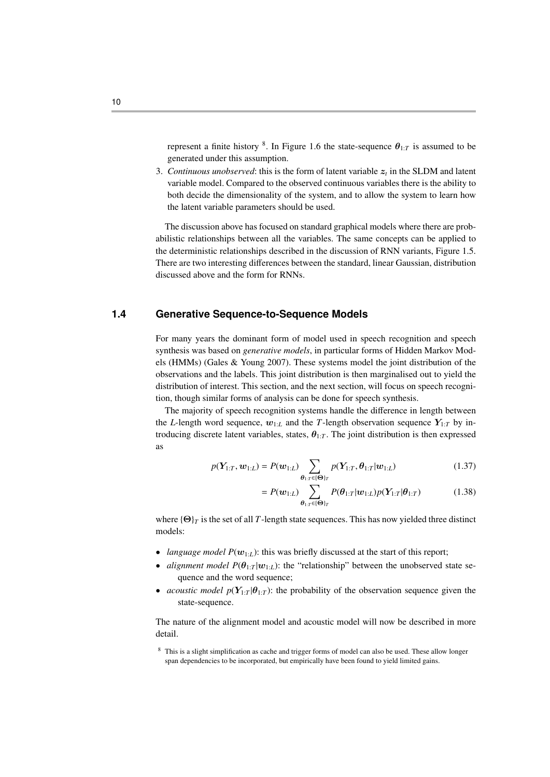represent a finite history <sup>8</sup>. In Figure 1.6 the state-sequence  $\theta_{1:T}$  is assumed to be generated under this assumption.

3. *Continuous unobserved*: this is the form of latent variable  $z_t$  in the SLDM and latent variable model. Compared to the observed continuous variables there is the ability to both decide the dimensionality of the system, and to allow the system to learn how the latent variable parameters should be used.

The discussion above has focused on standard graphical models where there are probabilistic relationships between all the variables. The same concepts can be applied to the deterministic relationships described in the discussion of RNN variants, Figure 1.5. There are two interesting differences between the standard, linear Gaussian, distribution discussed above and the form for RNNs.

## **1.4 Generative Sequence-to-Sequence Models**

For many years the dominant form of model used in speech recognition and speech synthesis was based on *generative models*, in particular forms of Hidden Markov Models (HMMs) (Gales & Young 2007). These systems model the joint distribution of the observations and the labels. This joint distribution is then marginalised out to yield the distribution of interest. This section, and the next section, will focus on speech recognition, though similar forms of analysis can be done for speech synthesis.

The majority of speech recognition systems handle the difference in length between the *L*-length word sequence,  $w_{1:L}$  and the *T*-length observation sequence  $Y_{1:T}$  by introducing discrete latent variables, states,  $\theta_{1:T}$ . The joint distribution is then expressed as

$$
p(Y_{1:T}, w_{1:L}) = P(w_{1:L}) \sum_{\theta_{1:T} \in \{\Theta\}_T} p(Y_{1:T}, \theta_{1:T} | w_{1:L})
$$
\n(1.37)

$$
=P(\boldsymbol{w}_{1:L})\sum_{\boldsymbol{\theta}_{1:T}\in\{\boldsymbol{\Theta}\}_T}P(\boldsymbol{\theta}_{1:T}|\boldsymbol{w}_{1:L})p(\boldsymbol{Y}_{1:T}|\boldsymbol{\theta}_{1:T})
$$
(1.38)

where  ${\Theta}_T$  is the set of all *T*-length state sequences. This has now yielded three distinct models:

- *language model*  $P(\mathbf{w}_{1:L})$ *:* this was briefly discussed at the start of this report;
- *alignment model*  $P(\theta_{1:T} | w_{1:L})$ *:* the "relationship" between the unobserved state sequence and the word sequence;
- *acoustic model*  $p(Y_{1:T} | \theta_{1:T})$ *:* the probability of the observation sequence given the state-sequence.

The nature of the alignment model and acoustic model will now be described in more detail.

<sup>8</sup> This is a slight simplification as cache and trigger forms of model can also be used. These allow longer span dependencies to be incorporated, but empirically have been found to yield limited gains.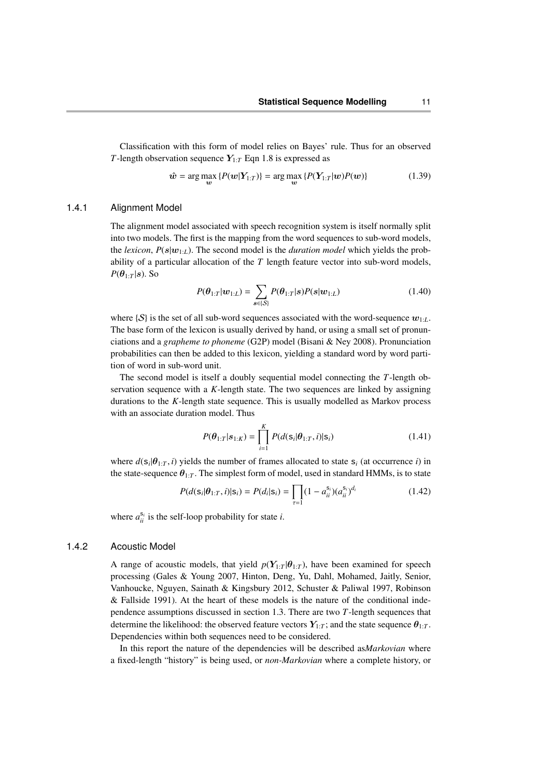Classification with this form of model relies on Bayes' rule. Thus for an observed *T*-length observation sequence  $Y_{1:T}$  Eqn 1.8 is expressed as

$$
\hat{\boldsymbol{w}} = \arg \max_{\boldsymbol{w}} \left\{ P(\boldsymbol{w}|\boldsymbol{Y}_{1:T}) \right\} = \arg \max_{\boldsymbol{w}} \left\{ P(\boldsymbol{Y}_{1:T}|\boldsymbol{w}) P(\boldsymbol{w}) \right\} \tag{1.39}
$$

## 1.4.1 Alignment Model

The alignment model associated with speech recognition system is itself normally split into two models. The first is the mapping from the word sequences to sub-word models, the *lexicon*,  $P(s|w_{1:L})$ . The second model is the *duration model* which yields the probability of a particular allocation of the *T* length feature vector into sub-word models,  $P(\theta_{1:T}|s)$ . So

$$
P(\boldsymbol{\theta}_{1:T}|\boldsymbol{w}_{1:L}) = \sum_{\boldsymbol{s}\in\{\mathcal{S}\}} P(\boldsymbol{\theta}_{1:T}|\boldsymbol{s}) P(\boldsymbol{s}|\boldsymbol{w}_{1:L})
$$
\n(1.40)

where  $\{S\}$  is the set of all sub-word sequences associated with the word-sequence  $w_{1:L}$ . The base form of the lexicon is usually derived by hand, or using a small set of pronunciations and a *grapheme to phoneme* (G2P) model (Bisani & Ney 2008). Pronunciation probabilities can then be added to this lexicon, yielding a standard word by word partition of word in sub-word unit.

The second model is itself a doubly sequential model connecting the *T*-length observation sequence with a *K*-length state. The two sequences are linked by assigning durations to the *K*-length state sequence. This is usually modelled as Markov process with an associate duration model. Thus

$$
P(\theta_{1:T}|s_{1:K}) = \prod_{i=1}^{K} P(d(s_i|\theta_{1:T}, i)|s_i)
$$
 (1.41)

where  $d(s_i|\theta_{1:T}, i)$  yields the number of frames allocated to state  $s_i$  (at occurrence *i*) in<br>the state sequence  $\theta_i$ . The simplest form of model, used in standard HMMs, is to state the state-sequence  $\theta_{1:T}$ . The simplest form of model, used in standard HMMs, is to state

$$
P(d(\mathbf{s}_i|\boldsymbol{\theta}_{1:T}, i)|\mathbf{s}_i) = P(d_i|\mathbf{s}_i) = \prod_{\tau=1} (1 - a_{ii}^{\mathbf{s}_i})(a_{ii}^{\mathbf{s}_i})^{d_i}
$$
(1.42)

where  $a_{ii}^{s_i}$  is the self-loop probability for state *i*.

#### 1.4.2 Acoustic Model

A range of acoustic models, that yield  $p(Y_{1:T} | \theta_{1:T})$ , have been examined for speech processing (Gales & Young 2007, Hinton, Deng, Yu, Dahl, Mohamed, Jaitly, Senior, Vanhoucke, Nguyen, Sainath & Kingsbury 2012, Schuster & Paliwal 1997, Robinson & Fallside 1991). At the heart of these models is the nature of the conditional independence assumptions discussed in section 1.3. There are two *T*-length sequences that determine the likelihood: the observed feature vectors  $Y_{1:T}$ ; and the state sequence  $\theta_{1:T}$ . Dependencies within both sequences need to be considered.

In this report the nature of the dependencies will be described as*Markovian* where a fixed-length "history" is being used, or *non-Markovian* where a complete history, or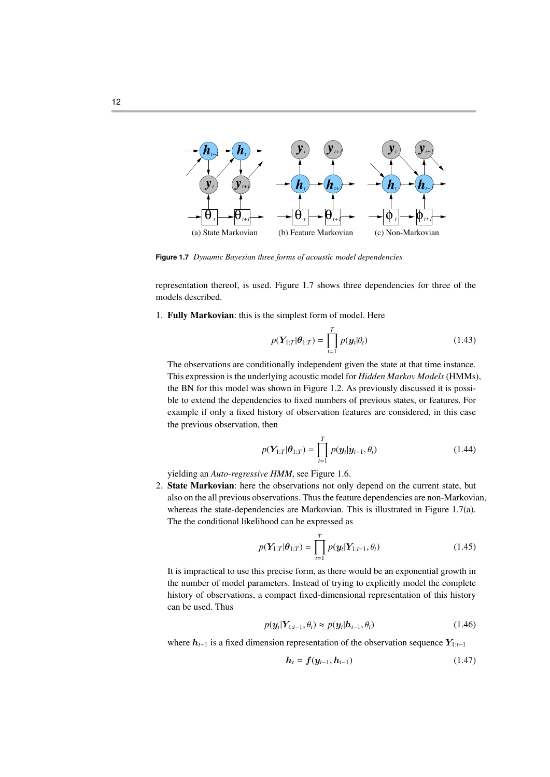

**Figure 1.7** *Dynamic Bayesian three forms of acoustic model dependencies*

representation thereof, is used. Figure 1.7 shows three dependencies for three of the models described.

1. Fully Markovian: this is the simplest form of model. Here

$$
p(\mathbf{Y}_{1:T}|\boldsymbol{\theta}_{1:T}) = \prod_{t=1}^{T} p(\mathbf{y}_t|\boldsymbol{\theta}_t)
$$
 (1.43)

The observations are conditionally independent given the state at that time instance. This expression is the underlying acoustic model for *Hidden Markov Models*(HMMs), the BN for this model was shown in Figure 1.2. As previously discussed it is possible to extend the dependencies to fixed numbers of previous states, or features. For example if only a fixed history of observation features are considered, in this case the previous observation, then

$$
p(Y_{1:T}|\theta_{1:T}) = \prod_{t=1}^{T} p(y_t|y_{t-1}, \theta_t)
$$
 (1.44)

yielding an *Auto-regressive HMM*, see Figure 1.6.

2. State Markovian: here the observations not only depend on the current state, but also on the all previous observations. Thus the feature dependencies are non-Markovian, whereas the state-dependencies are Markovian. This is illustrated in Figure 1.7(a). The the conditional likelihood can be expressed as

$$
p(Y_{1:T}|\theta_{1:T}) = \prod_{t=1}^{T} p(y_t|Y_{1:t-1}, \theta_t)
$$
 (1.45)

It is impractical to use this precise form, as there would be an exponential growth in the number of model parameters. Instead of trying to explicitly model the complete history of observations, a compact fixed-dimensional representation of this history can be used. Thus

$$
p(\mathbf{y}_t|\mathbf{Y}_{1:t-1},\theta_t) \approx p(\mathbf{y}_t|\mathbf{h}_{t-1},\theta_t)
$$
\n(1.46)

where h*t*−<sup>1</sup> is a fixed dimension representation of the observation sequence Y1:*t*−<sup>1</sup>

$$
h_t = f(y_{t-1}, h_{t-1})
$$
\n(1.47)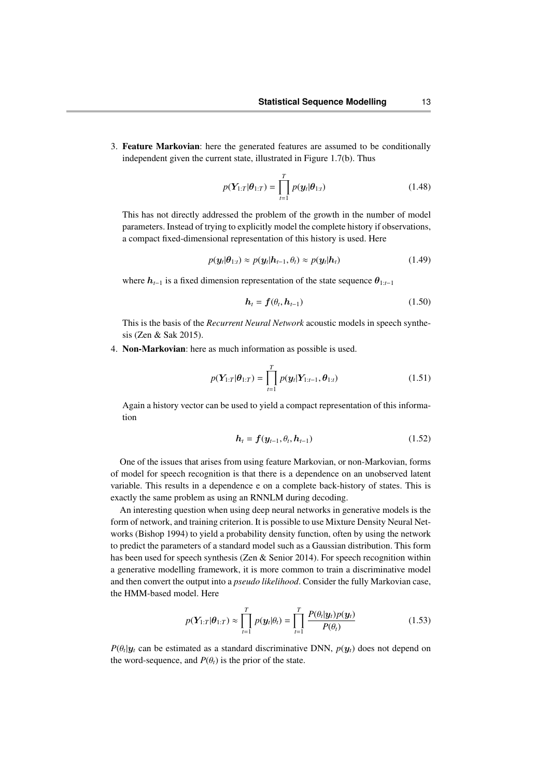3. Feature Markovian: here the generated features are assumed to be conditionally independent given the current state, illustrated in Figure 1.7(b). Thus

$$
p(\boldsymbol{Y}_{1:T}|\boldsymbol{\theta}_{1:T}) = \prod_{t=1}^{T} p(\boldsymbol{y}_t|\boldsymbol{\theta}_{1:t})
$$
\n(1.48)

This has not directly addressed the problem of the growth in the number of model parameters. Instead of trying to explicitly model the complete history if observations, a compact fixed-dimensional representation of this history is used. Here

$$
p(\mathbf{y}_t|\boldsymbol{\theta}_{1:t}) \approx p(\mathbf{y}_t|\mathbf{h}_{t-1}, \theta_t) \approx p(\mathbf{y}_t|\mathbf{h}_t)
$$
\n(1.49)

where  $h_{t-1}$  is a fixed dimension representation of the state sequence  $\theta_{1:t-1}$ 

$$
\boldsymbol{h}_t = \boldsymbol{f}(\theta_t, \boldsymbol{h}_{t-1}) \tag{1.50}
$$

This is the basis of the *Recurrent Neural Network* acoustic models in speech synthesis (Zen & Sak 2015).

4. Non-Markovian: here as much information as possible is used.

$$
p(\mathbf{Y}_{1:T}|\boldsymbol{\theta}_{1:T}) = \prod_{t=1}^{T} p(\mathbf{y}_t|\mathbf{Y}_{1:t-1}, \boldsymbol{\theta}_{1:t})
$$
 (1.51)

Again a history vector can be used to yield a compact representation of this information

$$
\boldsymbol{h}_t = \boldsymbol{f}(\boldsymbol{y}_{t-1}, \theta_t, \boldsymbol{h}_{t-1}) \tag{1.52}
$$

One of the issues that arises from using feature Markovian, or non-Markovian, forms of model for speech recognition is that there is a dependence on an unobserved latent variable. This results in a dependence e on a complete back-history of states. This is exactly the same problem as using an RNNLM during decoding.

An interesting question when using deep neural networks in generative models is the form of network, and training criterion. It is possible to use Mixture Density Neural Networks (Bishop 1994) to yield a probability density function, often by using the network to predict the parameters of a standard model such as a Gaussian distribution. This form has been used for speech synthesis (Zen & Senior 2014). For speech recognition within a generative modelling framework, it is more common to train a discriminative model and then convert the output into a *pseudo likelihood*. Consider the fully Markovian case, the HMM-based model. Here

$$
p(\boldsymbol{Y}_{1:T}|\boldsymbol{\theta}_{1:T}) \approx \prod_{t=1}^{T} p(\boldsymbol{y}_t|\boldsymbol{\theta}_t) = \prod_{t=1}^{T} \frac{P(\boldsymbol{\theta}_t|\boldsymbol{y}_t) p(\boldsymbol{y}_t)}{P(\boldsymbol{\theta}_t)}
$$
(1.53)

 $P(\theta_t|\mathbf{y}_t)$  can be estimated as a standard discriminative DNN,  $p(\mathbf{y}_t)$  does not depend on the word sequence and  $P(\theta)$  is the prior of the state the word-sequence, and  $P(\theta_t)$  is the prior of the state.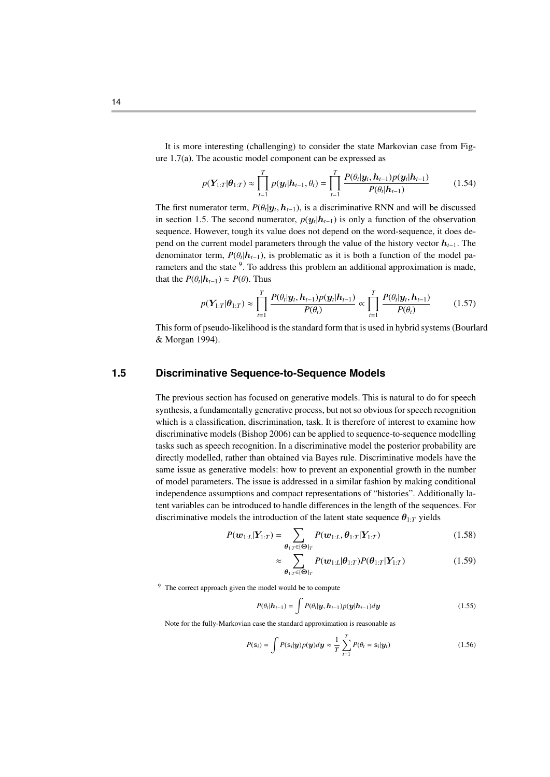It is more interesting (challenging) to consider the state Markovian case from Figure 1.7(a). The acoustic model component can be expressed as

$$
p(Y_{1:T}|\theta_{1:T}) \approx \prod_{t=1}^{T} p(y_t | h_{t-1}, \theta_t) = \prod_{t=1}^{T} \frac{P(\theta_t | y_t, h_{t-1}) p(y_t | h_{t-1})}{P(\theta_t | h_{t-1})}
$$
(1.54)

The first numerator term,  $P(\theta_t | y_t, h_{t-1})$ , is a discriminative RNN and will be discussed<br>in section 1.5. The second numerator,  $p(\mu | h_{t-1})$  is only a function of the observation in section 1.5. The second numerator,  $p(y_t | h_{t-1})$  is only a function of the observation sequence. However, tough its value does not depend on the word-sequence, it does depend on the current model parameters through the value of the history vector  $h_{t-1}$ . The denominator term,  $P(\theta_t | \mathbf{h}_{t-1})$ , is problematic as it is both a function of the model parameters and the state  $\theta$ . To address this problem an additional approximation is made rameters and the state <sup>9</sup>. To address this problem an additional approximation is made, that the  $P(\theta_t | \boldsymbol{h}_{t-1}) \approx P(\theta)$ . Thus

$$
p(\boldsymbol{Y}_{1:T}|\boldsymbol{\theta}_{1:T}) \approx \prod_{t=1}^T \frac{P(\theta_t|\boldsymbol{y}_t, \boldsymbol{h}_{t-1}) p(\boldsymbol{y}_t|\boldsymbol{h}_{t-1})}{P(\theta_t)} \propto \prod_{t=1}^T \frac{P(\theta_t|\boldsymbol{y}_t, \boldsymbol{h}_{t-1})}{P(\theta_t)}
$$
(1.57)

This form of pseudo-likelihood is the standard form that is used in hybrid systems (Bourlard & Morgan 1994).

## **1.5 Discriminative Sequence-to-Sequence Models**

The previous section has focused on generative models. This is natural to do for speech synthesis, a fundamentally generative process, but not so obvious for speech recognition which is a classification, discrimination, task. It is therefore of interest to examine how discriminative models (Bishop 2006) can be applied to sequence-to-sequence modelling tasks such as speech recognition. In a discriminative model the posterior probability are directly modelled, rather than obtained via Bayes rule. Discriminative models have the same issue as generative models: how to prevent an exponential growth in the number of model parameters. The issue is addressed in a similar fashion by making conditional independence assumptions and compact representations of "histories". Additionally latent variables can be introduced to handle differences in the length of the sequences. For discriminative models the introduction of the latent state sequence  $\theta_{1:T}$  yields

$$
P(\mathbf{w}_{1:L}|\mathbf{Y}_{1:T}) = \sum_{\theta_{1:T} \in \{\Theta\}_T} P(\mathbf{w}_{1:L}, \theta_{1:T}|\mathbf{Y}_{1:T})
$$
(1.58)

$$
\approx \sum_{\theta_{1:T}\in\{\Theta\}_T} P(\boldsymbol{w}_{1:L}|\boldsymbol{\theta}_{1:T}) P(\boldsymbol{\theta}_{1:T}|\boldsymbol{Y}_{1:T})
$$
\n(1.59)

<sup>9</sup> The correct approach given the model would be to compute

$$
P(\theta_t|\mathbf{h}_{t-1}) = \int P(\theta_t|\mathbf{y}, \mathbf{h}_{t-1}) p(\mathbf{y}|\mathbf{h}_{t-1}) d\mathbf{y}
$$
\n(1.55)

Note for the fully-Markovian case the standard approximation is reasonable as

$$
P(\mathbf{s}_i) = \int P(\mathbf{s}_i | \mathbf{y}) p(\mathbf{y}) d\mathbf{y} \approx \frac{1}{T} \sum_{t=1}^T P(\theta_t = \mathbf{s}_i | \mathbf{y}_t)
$$
(1.56)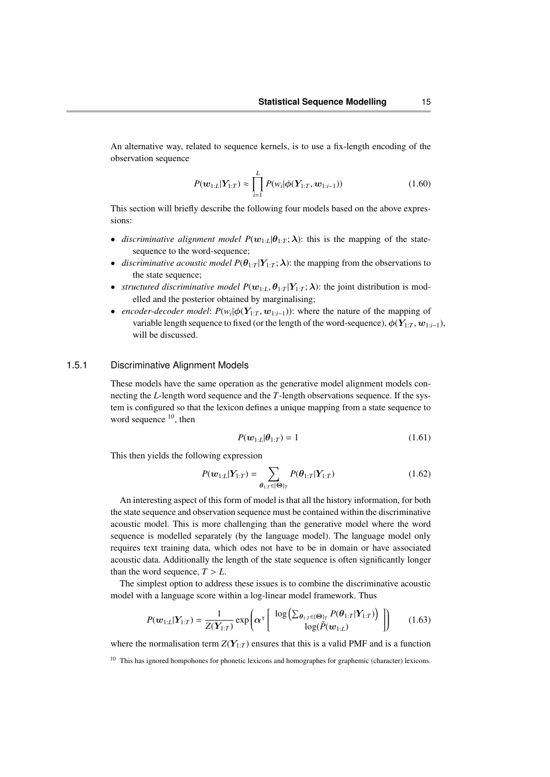An alternative way, related to sequence kernels, is to use a fix-length encoding of the observation sequence

$$
P(\mathbf{w}_{1:L}|\mathbf{Y}_{1:T}) \approx \prod_{i=1}^{L} P(w_i|\phi(\mathbf{Y}_{1:T}, \mathbf{w}_{1:i-1}))
$$
 (1.60)

This section will briefly describe the following four models based on the above expressions:

- *discriminative alignment model*  $P(w_{1:L}|\theta_{1:T};\lambda)$ *: this is the mapping of the state*sequence to the word-sequence;
- *discriminative acoustic model*  $P(\theta_{1:T} | Y_{1:T}; \lambda)$ *: the mapping from the observations to* the state sequence;
- *structured discriminative model*  $P(\mathbf{w}_{1:L}, \theta_{1:T} | Y_{1:T}; \lambda)$ *: the joint distribution is mod*elled and the posterior obtained by marginalising;
- *encoder-decoder model:*  $P(w_i | \phi(Y_{1:T}, w_{1:i-1}))$ : where the nature of the mapping of variable longth sequence to fixed (or the longth of the word sequence)  $\phi(Y_{1:n}, w_{1:n})$ variable length sequence to fixed (or the length of the word-sequence),  $\phi(Y_{1:T}, w_{1:i-1})$ , will be discussed.

#### 1.5.1 Discriminative Alignment Models

These models have the same operation as the generative model alignment models connecting the *L*-length word sequence and the *T*-length observations sequence. If the system is configured so that the lexicon defines a unique mapping from a state sequence to word sequence  $10$ , then

$$
P(\boldsymbol{w}_{1:L}|\boldsymbol{\theta}_{1:T}) = 1 \tag{1.61}
$$

This then yields the following expression

$$
P(\boldsymbol{w}_{1:L}|\boldsymbol{Y}_{1:T}) = \sum_{\boldsymbol{\theta}_{1:T} \in \{\boldsymbol{\Theta}\}_T} P(\boldsymbol{\theta}_{1:T}|\boldsymbol{Y}_{1:T})
$$
(1.62)

An interesting aspect of this form of model is that all the history information, for both the state sequence and observation sequence must be contained within the discriminative acoustic model. This is more challenging than the generative model where the word sequence is modelled separately (by the language model). The language model only requires text training data, which odes not have to be in domain or have associated acoustic data. Additionally the length of the state sequence is often significantly longer than the word sequence,  $T > L$ .

The simplest option to address these issues is to combine the discriminative acoustic model with a language score within a log-linear model framework. Thus

$$
P(\boldsymbol{w}_{1:L}|\boldsymbol{Y}_{1:T}) = \frac{1}{Z(\boldsymbol{Y}_{1:T})} \exp\left(\boldsymbol{\alpha}^{\top} \begin{bmatrix} \log \left(\sum_{\boldsymbol{\theta}_{1:T} \in \{\boldsymbol{\Theta}\}_T} P(\boldsymbol{\theta}_{1:T}|\boldsymbol{Y}_{1:T})\right) \\ \log(\tilde{P}(\boldsymbol{w}_{1:L}) \end{bmatrix} \right) \tag{1.63}
$$

where the normalisation term  $Z(Y_{1:T})$  ensures that this is a valid PMF and is a function

<sup>&</sup>lt;sup>10</sup> This has ignored hompohones for phonetic lexicons and homographes for graphemic (character) lexicons.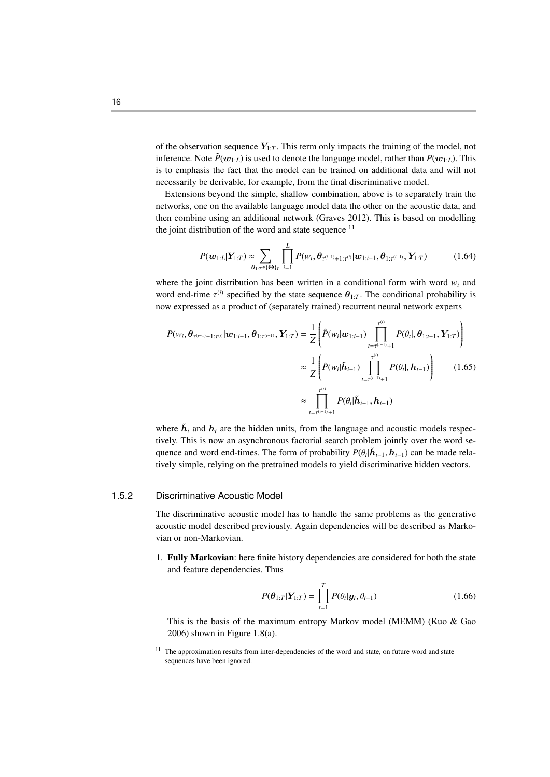of the observation sequence  $Y_{1:T}$ . This term only impacts the training of the model, not inference. Note  $\tilde{P}(w_{1:L})$  is used to denote the language model, rather than  $P(w_{1:L})$ . This is to emphasis the fact that the model can be trained on additional data and will not necessarily be derivable, for example, from the final discriminative model.

Extensions beyond the simple, shallow combination, above is to separately train the networks, one on the available language model data the other on the acoustic data, and then combine using an additional network (Graves 2012). This is based on modelling the joint distribution of the word and state sequence  $11$ 

$$
P(\boldsymbol{w}_{1:L}|\boldsymbol{Y}_{1:T}) \approx \sum_{\boldsymbol{\theta}_{1:T} \in \{\boldsymbol{\Theta}\}_T} \prod_{i=1}^L P(w_i, \boldsymbol{\theta}_{\tau^{(i-1)}+1:T^{(i)}}|\boldsymbol{w}_{1:i-1}, \boldsymbol{\theta}_{1:T^{(i-1)}}, \boldsymbol{Y}_{1:T})
$$
(1.64)

where the joint distribution has been written in a conditional form with word  $w_i$  and word end-time  $\tau^{(i)}$  specified by the state sequence  $\theta_{1:T}$ . The conditional probability is now expressed as a product of (separately trained) recurrent neural network experts

$$
P(w_i, \theta_{\tau^{(i-1)}+1:\tau^{(i)}}|w_{1:i-1}, \theta_{1:\tau^{(i-1)}}, Y_{1:T}) = \frac{1}{Z} \left( \tilde{P}(w_i|w_{1:i-1}) \prod_{t=\tau^{(i-1)}+1}^{\tau^{(i)}} P(\theta_t|, \theta_{1:t-1}, Y_{1:T}) \right)
$$
  

$$
\approx \frac{1}{Z} \left( \tilde{P}(w_i|\tilde{h}_{i-1}) \prod_{t=\tau^{(i-1)}+1}^{\tau^{(i)}} P(\theta_t|, h_{t-1}) \right) \qquad (1.65)
$$
  

$$
\approx \prod_{t=\tau^{(i-1)}+1}^{\tau^{(i)}} P(\theta_t|\tilde{h}_{i-1}, h_{t-1})
$$

where  $\tilde{h}_i$  and  $h_t$  are the hidden units, from the language and acoustic models respectively. This is now an asynchronous factorial search problem jointly over the word sequence and word end-times. The form of probability  $P(\theta_t|\tilde{h}_{t-1}, h_{t-1})$  can be made rela-<br>timely simple, relating on the protestined models to viald discriminative hidden vectors tively simple, relying on the pretrained models to yield discriminative hidden vectors.

#### 1.5.2 Discriminative Acoustic Model

The discriminative acoustic model has to handle the same problems as the generative acoustic model described previously. Again dependencies will be described as Markovian or non-Markovian.

1. Fully Markovian: here finite history dependencies are considered for both the state and feature dependencies. Thus

$$
P(\boldsymbol{\theta}_{1:T}|\boldsymbol{Y}_{1:T}) = \prod_{t=1}^{T} P(\theta_t|\boldsymbol{y}_t, \theta_{t-1})
$$
\n(1.66)

This is the basis of the maximum entropy Markov model (MEMM) (Kuo & Gao 2006) shown in Figure 1.8(a).

<sup>&</sup>lt;sup>11</sup> The approximation results from inter-dependencies of the word and state, on future word and state sequences have been ignored.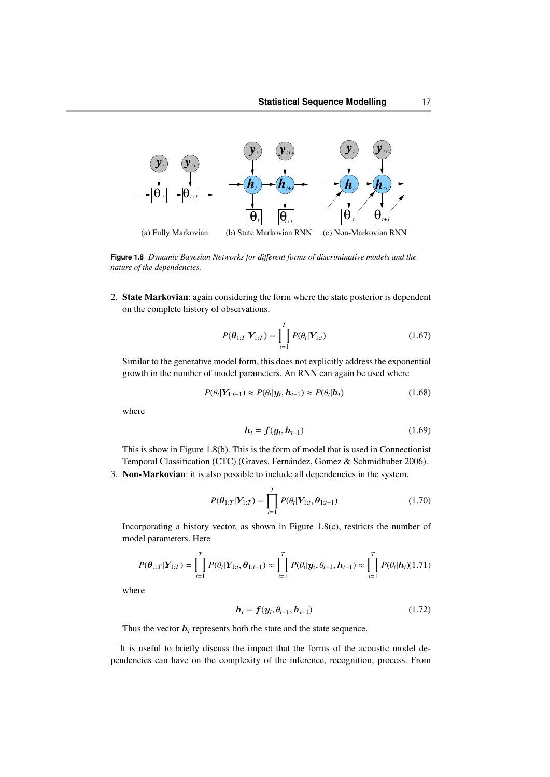

**Figure 1.8** *Dynamic Bayesian Networks for di*ff*erent forms of discriminative models and the nature of the dependencies.*

2. State Markovian: again considering the form where the state posterior is dependent on the complete history of observations.

$$
P(\theta_{1:T}|\mathbf{Y}_{1:T}) = \prod_{t=1}^{T} P(\theta_t|\mathbf{Y}_{1:t})
$$
\n(1.67)

Similar to the generative model form, this does not explicitly address the exponential growth in the number of model parameters. An RNN can again be used where

$$
P(\theta_t | \mathbf{Y}_{1:t-1}) \approx P(\theta_t | \mathbf{y}_t, \mathbf{h}_{t-1}) \approx P(\theta_t | \mathbf{h}_t)
$$
\n(1.68)

where

$$
\boldsymbol{h}_t = \boldsymbol{f}(\boldsymbol{y}_t, \boldsymbol{h}_{t-1}) \tag{1.69}
$$

This is show in Figure 1.8(b). This is the form of model that is used in Connectionist Temporal Classification (CTC) (Graves, Fernández, Gomez & Schmidhuber 2006).

3. Non-Markovian: it is also possible to include all dependencies in the system.

$$
P(\theta_{1:T}|\boldsymbol{Y}_{1:T}) = \prod_{t=1}^{T} P(\theta_t|\boldsymbol{Y}_{1:t}, \theta_{1:t-1})
$$
\n(1.70)

Incorporating a history vector, as shown in Figure 1.8(c), restricts the number of model parameters. Here

$$
P(\theta_{1:T}|\mathbf{Y}_{1:T}) = \prod_{t=1}^{T} P(\theta_t | \mathbf{Y}_{1:t}, \theta_{1:t-1}) \approx \prod_{t=1}^{T} P(\theta_t | \mathbf{y}_t, \theta_{t-1}, \mathbf{h}_{t-1}) \approx \prod_{t=1}^{T} P(\theta_t | \mathbf{h}_t)(1.71)
$$

where

$$
h_t = f(y_t, \theta_{t-1}, h_{t-1})
$$
\n(1.72)

Thus the vector  $h_t$  represents both the state and the state sequence.

It is useful to briefly discuss the impact that the forms of the acoustic model dependencies can have on the complexity of the inference, recognition, process. From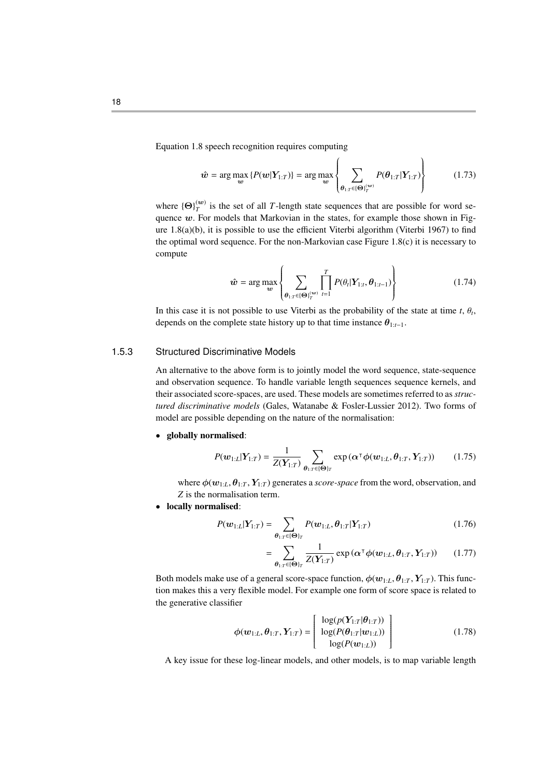Equation 1.8 speech recognition requires computing

$$
\hat{\boldsymbol{w}} = \arg \max_{\boldsymbol{w}} \left\{ P(\boldsymbol{w}|\boldsymbol{Y}_{1:T}) \right\} = \arg \max_{\boldsymbol{w}} \left\{ \sum_{\boldsymbol{\theta}_{1:T} \in (\boldsymbol{\Theta})_T^{(\boldsymbol{w})}} P(\boldsymbol{\theta}_{1:T}|\boldsymbol{Y}_{1:T}) \right\} \tag{1.73}
$$

 $\lambda$ 

where  ${\Theta}_{T}^{(w)}$  is the set of all *T*-length state sequences that are possible for word sequence  $w$ . For models that Markovian in the states, for example those shown in Figure 1.8(a)(b), it is possible to use the efficient Viterbi algorithm (Viterbi 1967) to find the optimal word sequence. For the non-Markovian case Figure 1.8(c) it is necessary to compute

$$
\hat{\boldsymbol{w}} = \arg \max_{\boldsymbol{w}} \left\{ \sum_{\boldsymbol{\theta}_{1:T} \in {\{\Theta\}}_T^{(\boldsymbol{w})}} \prod_{t=1}^T P(\theta_t | \boldsymbol{Y}_{1:t}, \boldsymbol{\theta}_{1:t-1}) \right\} \tag{1.74}
$$

In this case it is not possible to use Viterbi as the probability of the state at time *t*,  $\theta_t$ , denote an the complete state bistory up to that time instance  $\theta$ depends on the complete state history up to that time instance  $\theta_{1:t-1}$ .

## 1.5.3 Structured Discriminative Models

An alternative to the above form is to jointly model the word sequence, state-sequence and observation sequence. To handle variable length sequences sequence kernels, and their associated score-spaces, are used. These models are sometimes referred to as *structured discriminative models* (Gales, Watanabe & Fosler-Lussier 2012). Two forms of model are possible depending on the nature of the normalisation:

• globally normalised:

$$
P(\boldsymbol{w}_{1:L}|\boldsymbol{Y}_{1:T}) = \frac{1}{Z(\boldsymbol{Y}_{1:T})} \sum_{\boldsymbol{\theta}_{1:T} \in \{\boldsymbol{\Theta}\}_T} \exp\left(\boldsymbol{\alpha}^\top \boldsymbol{\phi}(\boldsymbol{w}_{1:L}, \boldsymbol{\theta}_{1:T}, \boldsymbol{Y}_{1:T})\right) \qquad (1.75)
$$

where  $\phi(w_{1:L}, \theta_{1:T}, Y_{1:T})$  generates a *score-space* from the word, observation, and *Z* is the normalisation term.

• locally normalised:

$$
P(\mathbf{w}_{1:L}|\mathbf{Y}_{1:T}) = \sum_{\theta_{1:T} \in \{\Theta\}_T} P(\mathbf{w}_{1:L}, \theta_{1:T}|\mathbf{Y}_{1:T})
$$
(1.76)

$$
= \sum_{\boldsymbol{\theta}_{1:T}\in\{\boldsymbol{\Theta}\}_T} \frac{1}{Z(\boldsymbol{Y}_{1:T})} \exp\left(\boldsymbol{\alpha}^\top \boldsymbol{\phi}(\boldsymbol{w}_{1:L}, \boldsymbol{\theta}_{1:T}, \boldsymbol{Y}_{1:T})\right) \qquad (1.77)
$$

Both models make use of a general score-space function,  $\phi(w_{1:L}, \theta_{1:T}, Y_{1:T})$ . This function makes this a very flexible model. For example one form of score space is related to the generative classifier

$$
\phi(\mathbf{w}_{1:L}, \theta_{1:T}, \mathbf{Y}_{1:T}) = \begin{bmatrix} \log(p(\mathbf{Y}_{1:T}|\theta_{1:T})) \\ \log(P(\theta_{1:T}|\mathbf{w}_{1:L})) \\ \log(P(\mathbf{w}_{1:L})) \end{bmatrix}
$$
(1.78)

A key issue for these log-linear models, and other models, is to map variable length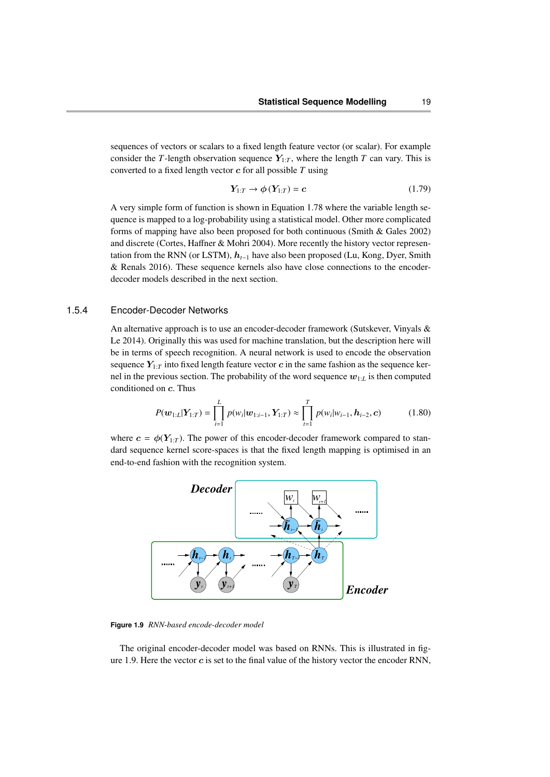sequences of vectors or scalars to a fixed length feature vector (or scalar). For example consider the *T*-length observation sequence  $Y_{1:T}$ , where the length *T* can vary. This is converted to a fixed length vector c for all possible *T* using

$$
Y_{1:T} \to \phi(Y_{1:T}) = c \tag{1.79}
$$

A very simple form of function is shown in Equation 1.78 where the variable length sequence is mapped to a log-probability using a statistical model. Other more complicated forms of mapping have also been proposed for both continuous (Smith & Gales 2002) and discrete (Cortes, Haffner & Mohri 2004). More recently the history vector representation from the RNN (or LSTM), h*t*−<sup>1</sup> have also been proposed (Lu, Kong, Dyer, Smith & Renals 2016). These sequence kernels also have close connections to the encoderdecoder models described in the next section.

#### 1.5.4 Encoder-Decoder Networks

An alternative approach is to use an encoder-decoder framework (Sutskever, Vinyals & Le 2014). Originally this was used for machine translation, but the description here will be in terms of speech recognition. A neural network is used to encode the observation sequence  $Y_{1:T}$  into fixed length feature vector c in the same fashion as the sequence kernel in the previous section. The probability of the word sequence  $w_{1:L}$  is then computed conditioned on c. Thus

$$
P(\boldsymbol{w}_{1:L}|\boldsymbol{Y}_{1:T}) = \prod_{i=1}^{L} p(w_i|\boldsymbol{w}_{1:i-1}, \boldsymbol{Y}_{1:T}) \approx \prod_{t=1}^{T} p(w_i|w_{i-1}, \boldsymbol{h}_{i-2}, \boldsymbol{c})
$$
(1.80)

where  $c = \phi(Y_{1:T})$ . The power of this encoder-decoder framework compared to standard sequence kernel score-spaces is that the fixed length mapping is optimised in an end-to-end fashion with the recognition system.



**Figure 1.9** *RNN-based encode-decoder model*

The original encoder-decoder model was based on RNNs. This is illustrated in figure 1.9. Here the vector  $c$  is set to the final value of the history vector the encoder RNN,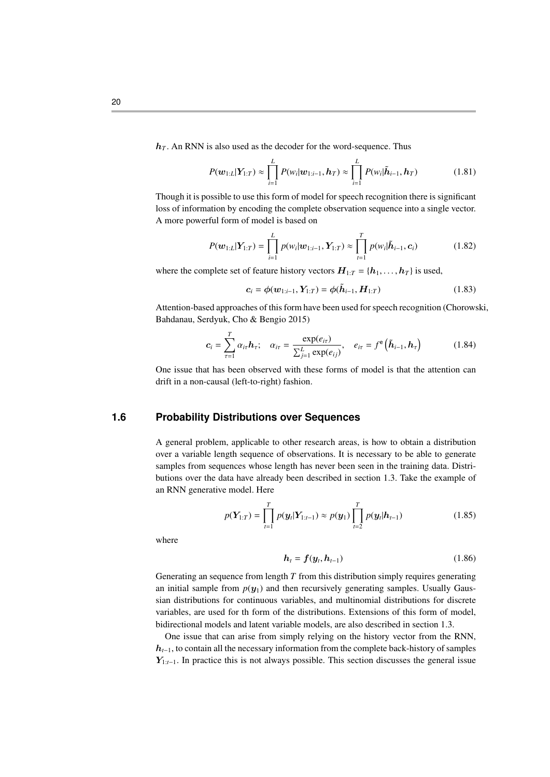$h_T$ . An RNN is also used as the decoder for the word-sequence. Thus

$$
P(\boldsymbol{w}_{1:L}|\boldsymbol{Y}_{1:T}) \approx \prod_{i=1}^{L} P(w_i|\boldsymbol{w}_{1:i-1},\boldsymbol{h}_T) \approx \prod_{i=1}^{L} P(w_i|\tilde{\boldsymbol{h}}_{i-1},\boldsymbol{h}_T)
$$
(1.81)

Though it is possible to use this form of model for speech recognition there is significant loss of information by encoding the complete observation sequence into a single vector. A more powerful form of model is based on

$$
P(\boldsymbol{w}_{1:L}|\boldsymbol{Y}_{1:T}) = \prod_{i=1}^{L} p(w_i|\boldsymbol{w}_{1:i-1}, \boldsymbol{Y}_{1:T}) \approx \prod_{t=1}^{T} p(w_i|\tilde{\boldsymbol{h}}_{i-1}, \boldsymbol{c}_i)
$$
(1.82)

where the complete set of feature history vectors  $H_{1:T} = \{h_1, \ldots, h_T\}$  is used,

$$
c_i = \phi(w_{1:i-1}, Y_{1:T}) = \phi(\tilde{h}_{i-1}, H_{1:T})
$$
\n(1.83)

Attention-based approaches of this form have been used for speech recognition (Chorowski, Bahdanau, Serdyuk, Cho & Bengio 2015)

$$
c_i = \sum_{\tau=1}^T \alpha_{i\tau} h_{\tau}; \quad \alpha_{i\tau} = \frac{\exp(e_{i\tau})}{\sum_{j=1}^L \exp(e_{ij})}, \quad e_{i\tau} = f^e\left(\tilde{h}_{i-1}, h_{\tau}\right)
$$
(1.84)

One issue that has been observed with these forms of model is that the attention can drift in a non-causal (left-to-right) fashion.

## **1.6 Probability Distributions over Sequences**

A general problem, applicable to other research areas, is how to obtain a distribution over a variable length sequence of observations. It is necessary to be able to generate samples from sequences whose length has never been seen in the training data. Distributions over the data have already been described in section 1.3. Take the example of an RNN generative model. Here

$$
p(\mathbf{Y}_{1:T}) = \prod_{t=1}^{T} p(\mathbf{y}_t | \mathbf{Y}_{1:t-1}) \approx p(\mathbf{y}_1) \prod_{t=2}^{T} p(\mathbf{y}_t | \mathbf{h}_{t-1})
$$
(1.85)

where

$$
\boldsymbol{h}_t = \boldsymbol{f}(\boldsymbol{y}_t, \boldsymbol{h}_{t-1}) \tag{1.86}
$$

Generating an sequence from length *T* from this distribution simply requires generating an initial sample from  $p(y_1)$  and then recursively generating samples. Usually Gaussian distributions for continuous variables, and multinomial distributions for discrete variables, are used for th form of the distributions. Extensions of this form of model, bidirectional models and latent variable models, are also described in section 1.3.

One issue that can arise from simply relying on the history vector from the RNN, h*t*−1, to contain all the necessary information from the complete back-history of samples Y1:*t*−1. In practice this is not always possible. This section discusses the general issue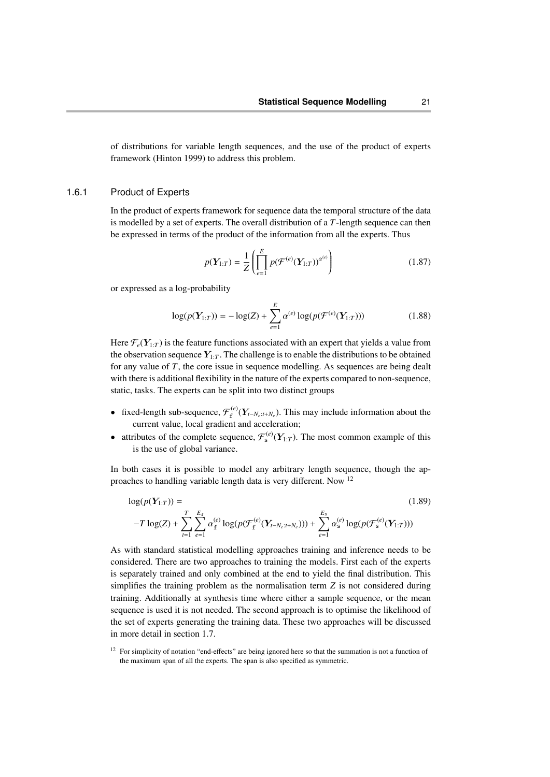of distributions for variable length sequences, and the use of the product of experts framework (Hinton 1999) to address this problem.

#### 1.6.1 Product of Experts

In the product of experts framework for sequence data the temporal structure of the data is modelled by a set of experts. The overall distribution of a *T*-length sequence can then be expressed in terms of the product of the information from all the experts. Thus

$$
p(\mathbf{Y}_{1:T}) = \frac{1}{Z} \left( \prod_{e=1}^{E} p(\mathcal{F}^{(e)}(\mathbf{Y}_{1:T}))^{a^{(e)}} \right)
$$
(1.87)

or expressed as a log-probability

$$
\log(p(Y_{1:T})) = -\log(Z) + \sum_{e=1}^{E} \alpha^{(e)} \log(p(\mathcal{F}^{(e)}(Y_{1:T})))
$$
\n(1.88)

Here  $\mathcal{F}_e(Y_{1:T})$  is the feature functions associated with an expert that yields a value from the observation sequence  $Y_{1:T}$ . The challenge is to enable the distributions to be obtained for any value of *T*, the core issue in sequence modelling. As sequences are being dealt with there is additional flexibility in the nature of the experts compared to non-sequence, static, tasks. The experts can be split into two distinct groups

- **•** fixed-length sub-sequence,  $\mathcal{F}_{f}^{(e)}(Y_{t-N_e:t+N_e})$ . This may include information about the current value, local gradient and acceleration;
- attributes of the complete sequence,  $\mathcal{F}_{s}^{(e)}(Y_{1:T})$ . The most common example of this is the use of global variance.

In both cases it is possible to model any arbitrary length sequence, though the approaches to handling variable length data is very different. Now <sup>12</sup>

$$
\log(p(\mathbf{Y}_{1:T})) = (1.89)
$$
  
- $T \log(Z) + \sum_{t=1}^{T} \sum_{e=1}^{E_{\text{f}}} \alpha_{\text{f}}^{(e)} \log(p(\mathcal{F}_{\text{f}}^{(e)}(\mathbf{Y}_{t-N_e:t+N_e}))) + \sum_{e=1}^{E_{\text{s}}} \alpha_{\text{s}}^{(e)} \log(p(\mathcal{F}_{\text{s}}^{(e)}(\mathbf{Y}_{1:T})))$ 

As with standard statistical modelling approaches training and inference needs to be considered. There are two approaches to training the models. First each of the experts is separately trained and only combined at the end to yield the final distribution. This simplifies the training problem as the normalisation term *Z* is not considered during training. Additionally at synthesis time where either a sample sequence, or the mean sequence is used it is not needed. The second approach is to optimise the likelihood of the set of experts generating the training data. These two approaches will be discussed in more detail in section 1.7.

<sup>&</sup>lt;sup>12</sup> For simplicity of notation "end-effects" are being ignored here so that the summation is not a function of the maximum span of all the experts. The span is also specified as symmetric.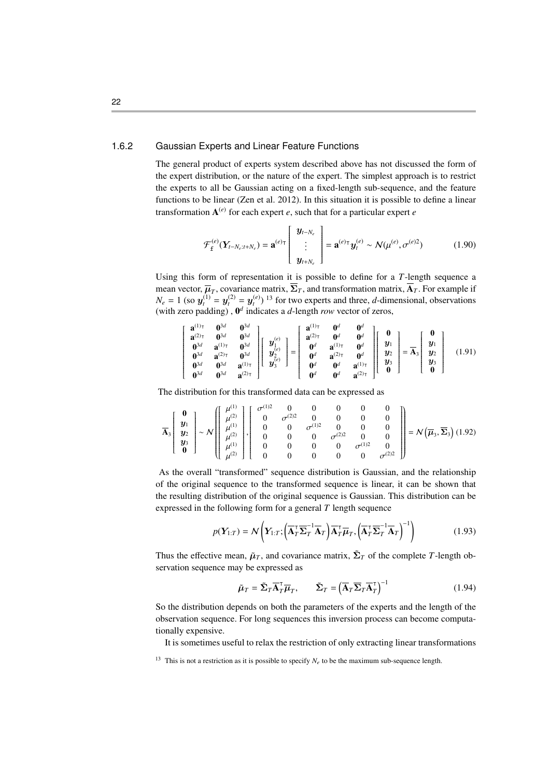## 1.6.2 Gaussian Experts and Linear Feature Functions

The general product of experts system described above has not discussed the form of the expert distribution, or the nature of the expert. The simplest approach is to restrict the experts to all be Gaussian acting on a fixed-length sub-sequence, and the feature functions to be linear (Zen et al. 2012). In this situation it is possible to define a linear transformation  $A^{(e)}$  for each expert  $e$ , such that for a particular expert  $e$ 

$$
\mathcal{F}_{\mathbf{f}}^{(e)}(\mathbf{Y}_{t-N_e:t+N_e}) = \mathbf{a}^{(e)\mathsf{T}}\begin{bmatrix} \mathbf{y}_{t-N_e} \\ \vdots \\ \mathbf{y}_{t+N_e} \end{bmatrix} = \mathbf{a}^{(e)\mathsf{T}} \mathbf{y}_t^{(e)} \sim \mathcal{N}(\mu^{(e)}, \sigma^{(e)2})
$$
(1.90)

Using this form of representation it is possible to define for a *T*-length sequence a mean vector,  $\overline{\mu}_T$ , covariance matrix,  $\Sigma_T$ , and transformation matrix,  $\mathbf{A}_T$ . For example if  $N_e = 1$  (so  $y_t^{(1)} = y_t^{(2)} = y_t^{(e)}$ ) <sup>13</sup> for two experts and three, *d*-dimensional, observations (with zero padding),  $\mathbf{0}^d$  indicates a *d*-length *row* vector of zeros,

$$
\begin{bmatrix}\n\mathbf{a}^{(1)\intercal} & \mathbf{0}^{3d} & \mathbf{0}^{3d} \\
\mathbf{a}^{(2)\intercal} & \mathbf{0}^{3d} & \mathbf{0}^{3d} \\
\mathbf{0}^{3d} & \mathbf{a}^{(2)\intercal} & \mathbf{0}^{3d} \\
\mathbf{0}^{3d} & \mathbf{a}^{(2)\intercal} & \mathbf{0}^{3d} \\
\mathbf{0}^{3d} & \mathbf{0}^{3d} & \mathbf{a}^{(1)\intercal}\n\end{bmatrix}\n\begin{bmatrix}\ny_{\perp}^{(e)} \\
y_{\perp}^{(e)} \\
y_{\perp}^{(e)} \\
\mathbf{0}^{d}\n\end{bmatrix}\n=\n\begin{bmatrix}\n\mathbf{a}^{(1)\intercal} & \mathbf{0}^{d} & \mathbf{0}^{d} \\
\mathbf{a}^{(2)\intercal} & \mathbf{0}^{d} & \mathbf{0}^{d} \\
\mathbf{0}^{d} & \mathbf{a}^{(2)\intercal} & \mathbf{0}^{d} \\
\mathbf{0}^{d} & \mathbf{0}^{d} & \mathbf{a}^{(1)\intercal}\n\end{bmatrix}\n\begin{bmatrix}\n\mathbf{0} \\
\mathbf{y}_{1} \\
\mathbf{y}_{2} \\
\mathbf{y}_{3} \\
\mathbf{0}^{d}\n\end{bmatrix}\n=\n\overline{\mathbf{A}_{3}}\n\begin{bmatrix}\n\mathbf{0} \\
\mathbf{y}_{1} \\
\mathbf{y}_{2} \\
\mathbf{y}_{3} \\
\mathbf{0}^{d}\n\end{bmatrix} = \overline{\mathbf{A}_{3}}\n\begin{bmatrix}\n\mathbf{0} \\
\mathbf{y}_{1} \\
\mathbf{y}_{2} \\
\mathbf{y}_{3} \\
\mathbf{0}^{d}\n\end{bmatrix}.
$$
\n(1.91)

The distribution for this transformed data can be expressed as

$$
\overline{A}_{3}\left[\begin{array}{c} \mathbf{0} \\ \mathbf{y}_{1} \\ \mathbf{y}_{2} \\ \mathbf{y}_{3} \\ \mathbf{0} \end{array}\right] \sim \mathcal{N}\left[\begin{array}{c} \mu^{(1)} \\ \mu^{(2)} \\ \mu^{(1)} \\ \mu^{(2)} \\ \mu^{(2)} \end{array}\right],\left[\begin{array}{cccccc} \sigma^{(1)2} & 0 & 0 & 0 & 0 & 0 \\ 0 & \sigma^{(2)2} & 0 & 0 & 0 & 0 \\ 0 & 0 & \sigma^{(1)2} & 0 & 0 & 0 \\ 0 & 0 & 0 & \sigma^{(2)2} & 0 & 0 \\ 0 & 0 & 0 & 0 & \sigma^{(1)2} & 0 \\ 0 & 0 & 0 & 0 & 0 & \sigma^{(2)2} \end{array}\right]\right] = \mathcal{N}\left(\overline{\mu}_{3}, \overline{\Sigma}_{3}\right) (1.92)
$$

As the overall "transformed" sequence distribution is Gaussian, and the relationship of the original sequence to the transformed sequence is linear, it can be shown that the resulting distribution of the original sequence is Gaussian. This distribution can be expressed in the following form for a general *T* length sequence

$$
p(\boldsymbol{Y}_{1:T}) = \mathcal{N}\left(\boldsymbol{Y}_{1:T}; \left(\overline{\mathbf{A}}_T^{\top} \overline{\boldsymbol{\Sigma}}_T^{-1} \overline{\mathbf{A}}_T\right) \overline{\mathbf{A}}_T^{\top} \overline{\boldsymbol{\mu}}_T, \left(\overline{\mathbf{A}}_T^{\top} \overline{\boldsymbol{\Sigma}}_T^{-1} \overline{\mathbf{A}}_T\right)^{-1}\right) \tag{1.93}
$$

Thus the effective mean,  $\tilde{\mu}_T$ , and covariance matrix,  $\tilde{\Sigma}_T$  of the complete *T*-length observation sequence may be expressed as

$$
\tilde{\mu}_T = \tilde{\Sigma}_T \overline{A}_T^{\top} \overline{\mu}_T, \qquad \tilde{\Sigma}_T = \left( \overline{A}_T \overline{\Sigma}_T \overline{A}_T^{\top} \right)^{-1}
$$
\n(1.94)

So the distribution depends on both the parameters of the experts and the length of the observation sequence. For long sequences this inversion process can become computationally expensive.

It is sometimes useful to relax the restriction of only extracting linear transformations

<sup>&</sup>lt;sup>13</sup> This is not a restriction as it is possible to specify  $N_e$  to be the maximum sub-sequence length.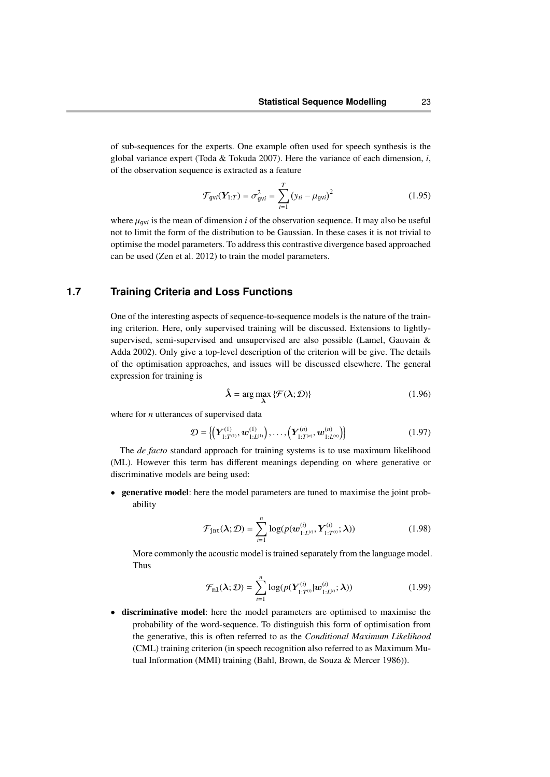of sub-sequences for the experts. One example often used for speech synthesis is the global variance expert (Toda & Tokuda 2007). Here the variance of each dimension, *i*, of the observation sequence is extracted as a feature

$$
\mathcal{F}_{\text{gvi}}(\mathbf{Y}_{1:T}) = \sigma_{\text{gvi}}^2 = \sum_{t=1}^{T} (y_{ti} - \mu_{\text{gvi}})^2
$$
 (1.95)

where  $\mu_{\text{gvi}}$  is the mean of dimension *i* of the observation sequence. It may also be useful<br>not to limit the form of the distribution to be Gaussian. In these cases it is not trivial to not to limit the form of the distribution to be Gaussian. In these cases it is not trivial to optimise the model parameters. To address this contrastive divergence based approached can be used (Zen et al. 2012) to train the model parameters.

# **1.7 Training Criteria and Loss Functions**

One of the interesting aspects of sequence-to-sequence models is the nature of the training criterion. Here, only supervised training will be discussed. Extensions to lightlysupervised, semi-supervised and unsupervised are also possible (Lamel, Gauvain & Adda 2002). Only give a top-level description of the criterion will be give. The details of the optimisation approaches, and issues will be discussed elsewhere. The general expression for training is

$$
\hat{\lambda} = \arg \max_{\lambda} \{ \mathcal{F}(\lambda; \mathcal{D}) \}
$$
\n(1.96)

where for *n* utterances of supervised data

$$
\mathcal{D} = \left\{ \left( \mathbf{Y}_{1:T^{(1)}}^{(1)}, \mathbf{w}_{1:L^{(1)}}^{(1)} \right), \ldots, \left( \mathbf{Y}_{1:T^{(n)}}^{(n)}, \mathbf{w}_{1:L^{(n)}}^{(n)} \right) \right\}
$$
(1.97)

The *de facto* standard approach for training systems is to use maximum likelihood (ML). However this term has different meanings depending on where generative or discriminative models are being used:

• generative model: here the model parameters are tuned to maximise the joint probability

$$
\mathcal{F}_{\text{int}}(\lambda;\mathcal{D}) = \sum_{i=1}^{n} \log(p(\boldsymbol{w}_{1:L^{(i)}}^{(i)}, \boldsymbol{Y}_{1:T^{(i)}}^{(i)}; \lambda))
$$
(1.98)

More commonly the acoustic model is trained separately from the language model. Thus

$$
\mathcal{F}_{\mathfrak{m}1}(\lambda;\mathcal{D})=\sum_{i=1}^n \log(p(\boldsymbol{Y}_{1:T^{(i)}}^{(i)}|\boldsymbol{w}_{1:L^{(i)}}^{(i)};\lambda))
$$
(1.99)

• discriminative model: here the model parameters are optimised to maximise the probability of the word-sequence. To distinguish this form of optimisation from the generative, this is often referred to as the *Conditional Maximum Likelihood* (CML) training criterion (in speech recognition also referred to as Maximum Mutual Information (MMI) training (Bahl, Brown, de Souza & Mercer 1986)).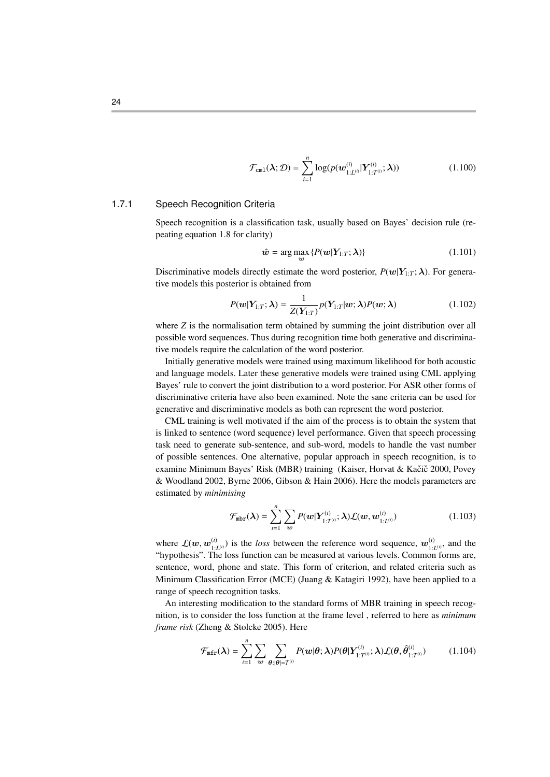$$
\mathcal{F}_{\text{cm1}}(\lambda; \mathcal{D}) = \sum_{i=1}^{n} \log(p(\boldsymbol{w}_{1:L^{(i)}}^{(i)} | \boldsymbol{Y}_{1:T^{(i)}}^{(i)}; \lambda)) \qquad (1.100)
$$

#### 1.7.1 Speech Recognition Criteria

Speech recognition is a classification task, usually based on Bayes' decision rule (repeating equation 1.8 for clarity)

$$
\hat{\boldsymbol{w}} = \arg\max_{\boldsymbol{w}} \{ P(\boldsymbol{w}|\boldsymbol{Y}_{1:T}; \boldsymbol{\lambda}) \} \tag{1.101}
$$

Discriminative models directly estimate the word posterior,  $P(w|Y_{1:T};\lambda)$ . For generative models this posterior is obtained from

$$
P(\mathbf{w}|\mathbf{Y}_{1:T};\boldsymbol{\lambda}) = \frac{1}{Z(\mathbf{Y}_{1:T})} p(\mathbf{Y}_{1:T}|\mathbf{w};\boldsymbol{\lambda}) P(\mathbf{w};\boldsymbol{\lambda})
$$
(1.102)

where *Z* is the normalisation term obtained by summing the joint distribution over all possible word sequences. Thus during recognition time both generative and discriminative models require the calculation of the word posterior.

Initially generative models were trained using maximum likelihood for both acoustic and language models. Later these generative models were trained using CML applying Bayes' rule to convert the joint distribution to a word posterior. For ASR other forms of discriminative criteria have also been examined. Note the sane criteria can be used for generative and discriminative models as both can represent the word posterior.

CML training is well motivated if the aim of the process is to obtain the system that is linked to sentence (word sequence) level performance. Given that speech processing task need to generate sub-sentence, and sub-word, models to handle the vast number of possible sentences. One alternative, popular approach in speech recognition, is to examine Minimum Bayes' Risk (MBR) training (Kaiser, Horvat & Kačič 2000, Povey & Woodland 2002, Byrne 2006, Gibson & Hain 2006). Here the models parameters are estimated by *minimising*

$$
\mathcal{F}_{\text{mbr}}(\boldsymbol{\lambda}) = \sum_{i=1}^{n} \sum_{\boldsymbol{w}} P(\boldsymbol{w} | \boldsymbol{Y}_{1:T^{(i)}}^{(i)}; \boldsymbol{\lambda}) \mathcal{L}(\boldsymbol{w}, \boldsymbol{w}_{1:L^{(i)}}^{(i)})
$$
(1.103)

where  $\mathcal{L}(w, w_{1:}^{(i)})$ <br>"hypothesis" Th  $\mathbf{u}_{1:L^{(i)}}^{(i)}$  is the *loss* between the reference word sequence,  $\mathbf{w}_{1:L^{(i)}}^{(i)}$  $\int_{1:L^{(i)}}^{(l)}$ , and the "hypothesis". The loss function can be measured at various levels. Common forms are, sentence, word, phone and state. This form of criterion, and related criteria such as Minimum Classification Error (MCE) (Juang & Katagiri 1992), have been applied to a range of speech recognition tasks.

An interesting modification to the standard forms of MBR training in speech recognition, is to consider the loss function at the frame level , referred to here as *minimum frame risk* (Zheng & Stolcke 2005). Here

$$
\mathcal{F}_{\text{mfr}}(\lambda) = \sum_{i=1}^{n} \sum_{\mathbf{w}} \sum_{\theta:|\theta|=T^{(i)}} P(\mathbf{w}|\theta; \lambda) P(\theta|Y_{1:T^{(i)}}^{(i)}; \lambda) \mathcal{L}(\theta, \hat{\theta}_{1:T^{(i)}}^{(i)})
$$
(1.104)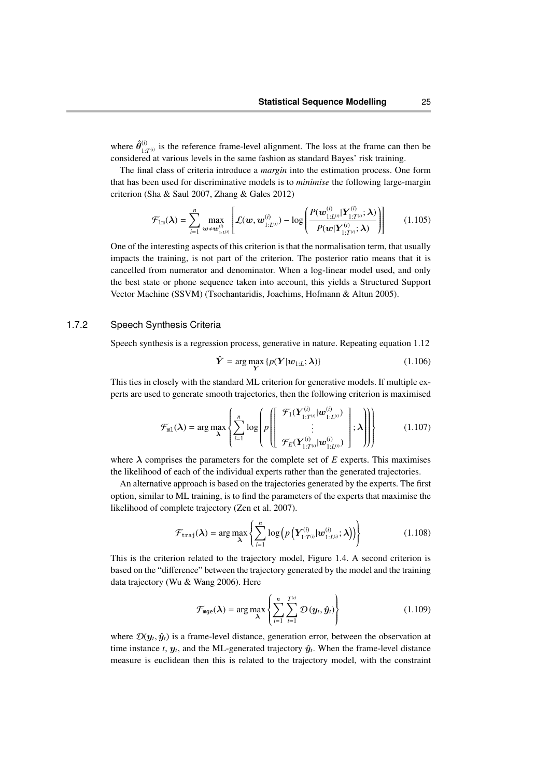where  $\hat{\theta}^{(i)}_{1}$  $\frac{1}{1:T^{(i)}}$  is the reference frame-level alignment. The loss at the frame can then be considered at various levels in the same fashion as standard Bayes' risk training.

The final class of criteria introduce a *margin* into the estimation process. One form that has been used for discriminative models is to *minimise* the following large-margin criterion (Sha & Saul 2007, Zhang & Gales 2012)

$$
\mathcal{F}_{1m}(\lambda) = \sum_{i=1}^{n} \max_{\mathbf{w} \neq \mathbf{w}_{1:L^{(i)}}^{(i)}} \left[ \mathcal{L}(\mathbf{w}, \mathbf{w}_{1:L^{(i)}}^{(i)}) - \log \left( \frac{P(\mathbf{w}_{1:L^{(i)}}^{(i)} | \mathbf{Y}_{1:T^{(i)}}^{(i)}; \lambda)}{P(\mathbf{w} | \mathbf{Y}_{1:T^{(i)}}^{(i)}; \lambda)} \right) \right]
$$
(1.105)

One of the interesting aspects of this criterion is that the normalisation term, that usually impacts the training, is not part of the criterion. The posterior ratio means that it is cancelled from numerator and denominator. When a log-linear model used, and only the best state or phone sequence taken into account, this yields a Structured Support Vector Machine (SSVM) (Tsochantaridis, Joachims, Hofmann & Altun 2005).

#### 1.7.2 Speech Synthesis Criteria

Speech synthesis is a regression process, generative in nature. Repeating equation 1.12

$$
\hat{\boldsymbol{Y}} = \arg \max_{\boldsymbol{Y}} \{ p(\boldsymbol{Y}|\boldsymbol{w}_{1:L}; \boldsymbol{\lambda}) \} \tag{1.106}
$$

This ties in closely with the standard ML criterion for generative models. If multiple experts are used to generate smooth trajectories, then the following criterion is maximised

$$
\mathcal{F}_{\text{ml}}(\boldsymbol{\lambda}) = \arg \max_{\boldsymbol{\lambda}} \left\{ \sum_{i=1}^{n} \log \left( p \left( \left| \begin{array}{c} \mathcal{F}_{1}(\boldsymbol{Y}_{1:T^{(i)}}^{(i)} | \boldsymbol{w}_{1:L^{(i)}}^{(i)}) \\ \vdots \\ \mathcal{F}_{E}(\boldsymbol{Y}_{1:T^{(i)}}^{(i)} | \boldsymbol{w}_{1:L^{(i)}}^{(i)}) \end{array} \right| ; \boldsymbol{\lambda} \right) \right) \right\}
$$
(1.107)

where  $\lambda$  comprises the parameters for the complete set of  $E$  experts. This maximises the likelihood of each of the individual experts rather than the generated trajectories.

An alternative approach is based on the trajectories generated by the experts. The first option, similar to ML training, is to find the parameters of the experts that maximise the likelihood of complete trajectory (Zen et al. 2007).

$$
\mathcal{F}_{\text{traj}}(\boldsymbol{\lambda}) = \arg \max_{\boldsymbol{\lambda}} \left\{ \sum_{i=1}^{n} \log \left( p\left( \boldsymbol{Y}_{1:T^{(i)}}^{(i)} | \boldsymbol{w}_{1:L^{(i)}}^{(i)}; \boldsymbol{\lambda} \right) \right) \right\}
$$
(1.108)

This is the criterion related to the trajectory model, Figure 1.4. A second criterion is based on the "difference" between the trajectory generated by the model and the training data trajectory (Wu & Wang 2006). Here

$$
\mathcal{F}_{\text{mge}}(\boldsymbol{\lambda}) = \arg \max_{\boldsymbol{\lambda}} \left\{ \sum_{i=1}^{n} \sum_{t=1}^{T^{(i)}} \mathcal{D}(\boldsymbol{y}_t, \hat{\boldsymbol{y}}_t) \right\} \tag{1.109}
$$

where  $\mathcal{D}(\mathbf{y}_t, \hat{\mathbf{y}}_t)$  is a frame-level distance, generation error, between the observation at time instance t at and the MI generated trajectory  $\hat{\mathbf{y}}_t$ . When the frame level distance time instance *t*,  $y_t$ , and the ML-generated trajectory  $\hat{y}_t$ . When the frame-level distance measure is euclidean then this is related to the trajectory model, with the constraint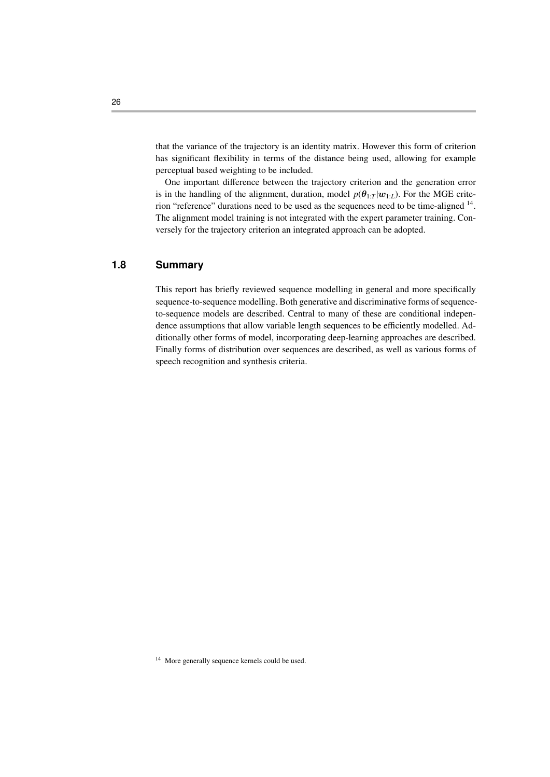that the variance of the trajectory is an identity matrix. However this form of criterion has significant flexibility in terms of the distance being used, allowing for example perceptual based weighting to be included.

One important difference between the trajectory criterion and the generation error is in the handling of the alignment, duration, model  $p(\theta_{1:T} | w_{1:L})$ . For the MGE criterion "reference" durations need to be used as the sequences need to be time-aligned <sup>14</sup>. The alignment model training is not integrated with the expert parameter training. Conversely for the trajectory criterion an integrated approach can be adopted.

# **1.8 Summary**

This report has briefly reviewed sequence modelling in general and more specifically sequence-to-sequence modelling. Both generative and discriminative forms of sequenceto-sequence models are described. Central to many of these are conditional independence assumptions that allow variable length sequences to be efficiently modelled. Additionally other forms of model, incorporating deep-learning approaches are described. Finally forms of distribution over sequences are described, as well as various forms of speech recognition and synthesis criteria.

<sup>&</sup>lt;sup>14</sup> More generally sequence kernels could be used.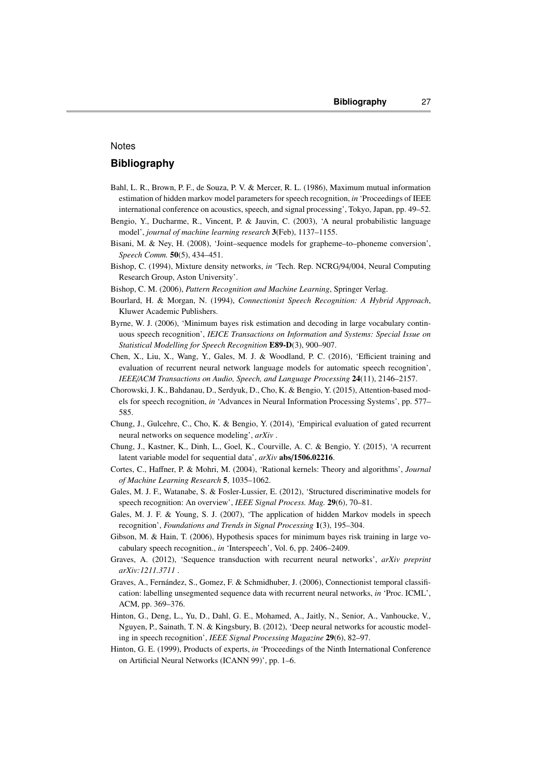#### **Notes**

## **Bibliography**

- Bahl, L. R., Brown, P. F., de Souza, P. V. & Mercer, R. L. (1986), Maximum mutual information estimation of hidden markov model parameters for speech recognition, *in* 'Proceedings of IEEE international conference on acoustics, speech, and signal processing', Tokyo, Japan, pp. 49–52.
- Bengio, Y., Ducharme, R., Vincent, P. & Jauvin, C. (2003), 'A neural probabilistic language model', *journal of machine learning research* 3(Feb), 1137–1155.
- Bisani, M. & Ney, H. (2008), 'Joint–sequence models for grapheme–to–phoneme conversion', *Speech Comm.* 50(5), 434–451.
- Bishop, C. (1994), Mixture density networks, *in* 'Tech. Rep. NCRG/94/004, Neural Computing Research Group, Aston University'.
- Bishop, C. M. (2006), *Pattern Recognition and Machine Learning*, Springer Verlag.
- Bourlard, H. & Morgan, N. (1994), *Connectionist Speech Recognition: A Hybrid Approach*, Kluwer Academic Publishers.
- Byrne, W. J. (2006), 'Minimum bayes risk estimation and decoding in large vocabulary continuous speech recognition', *IEICE Transactions on Information and Systems: Special Issue on Statistical Modelling for Speech Recognition* E89-D(3), 900–907.
- Chen, X., Liu, X., Wang, Y., Gales, M. J. & Woodland, P. C. (2016), 'Efficient training and evaluation of recurrent neural network language models for automatic speech recognition', *IEEE*/*ACM Transactions on Audio, Speech, and Language Processing* 24(11), 2146–2157.
- Chorowski, J. K., Bahdanau, D., Serdyuk, D., Cho, K. & Bengio, Y. (2015), Attention-based models for speech recognition, *in* 'Advances in Neural Information Processing Systems', pp. 577– 585.
- Chung, J., Gulcehre, C., Cho, K. & Bengio, Y. (2014), 'Empirical evaluation of gated recurrent neural networks on sequence modeling', *arXiv* .
- Chung, J., Kastner, K., Dinh, L., Goel, K., Courville, A. C. & Bengio, Y. (2015), 'A recurrent latent variable model for sequential data', *arXiv* abs/1506.02216.
- Cortes, C., Haffner, P. & Mohri, M. (2004), 'Rational kernels: Theory and algorithms', *Journal of Machine Learning Research* 5, 1035–1062.
- Gales, M. J. F., Watanabe, S. & Fosler-Lussier, E. (2012), 'Structured discriminative models for speech recognition: An overview', *IEEE Signal Process. Mag.* 29(6), 70–81.
- Gales, M. J. F. & Young, S. J. (2007), 'The application of hidden Markov models in speech recognition', *Foundations and Trends in Signal Processing* 1(3), 195–304.
- Gibson, M. & Hain, T. (2006), Hypothesis spaces for minimum bayes risk training in large vocabulary speech recognition., *in* 'Interspeech', Vol. 6, pp. 2406–2409.
- Graves, A. (2012), 'Sequence transduction with recurrent neural networks', *arXiv preprint arXiv:1211.3711* .
- Graves, A., Fernandez, S., Gomez, F. & Schmidhuber, J. (2006), Connectionist temporal classifi- ´ cation: labelling unsegmented sequence data with recurrent neural networks, *in* 'Proc. ICML', ACM, pp. 369–376.
- Hinton, G., Deng, L., Yu, D., Dahl, G. E., Mohamed, A., Jaitly, N., Senior, A., Vanhoucke, V., Nguyen, P., Sainath, T. N. & Kingsbury, B. (2012), 'Deep neural networks for acoustic modeling in speech recognition', *IEEE Signal Processing Magazine* 29(6), 82–97.
- Hinton, G. E. (1999), Products of experts, *in* 'Proceedings of the Ninth International Conference on Artificial Neural Networks (ICANN 99)', pp. 1–6.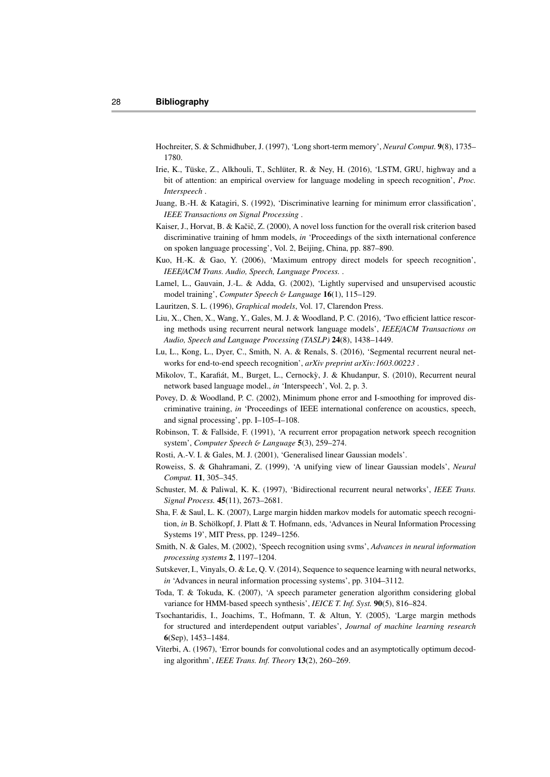- Hochreiter, S. & Schmidhuber, J. (1997), 'Long short-term memory', *Neural Comput.* 9(8), 1735– 1780.
- Irie, K., Tüske, Z., Alkhouli, T., Schlüter, R. & Ney, H. (2016), 'LSTM, GRU, highway and a bit of attention: an empirical overview for language modeling in speech recognition', *Proc. Interspeech* .
- Juang, B.-H. & Katagiri, S. (1992), 'Discriminative learning for minimum error classification', *IEEE Transactions on Signal Processing* .
- Kaiser, J., Horvat, B. & Kačič, Z. (2000), A novel loss function for the overall risk criterion based discriminative training of hmm models, *in* 'Proceedings of the sixth international conference on spoken language processing', Vol. 2, Beijing, China, pp. 887–890.
- Kuo, H.-K. & Gao, Y. (2006), 'Maximum entropy direct models for speech recognition', *IEEE*/*ACM Trans. Audio, Speech, Language Process.* .
- Lamel, L., Gauvain, J.-L. & Adda, G. (2002), 'Lightly supervised and unsupervised acoustic model training', *Computer Speech* & *Language* 16(1), 115–129.
- Lauritzen, S. L. (1996), *Graphical models*, Vol. 17, Clarendon Press.
- Liu, X., Chen, X., Wang, Y., Gales, M. J. & Woodland, P. C. (2016), 'Two efficient lattice rescoring methods using recurrent neural network language models', *IEEE*/*ACM Transactions on Audio, Speech and Language Processing (TASLP)* 24(8), 1438–1449.
- Lu, L., Kong, L., Dyer, C., Smith, N. A. & Renals, S. (2016), 'Segmental recurrent neural networks for end-to-end speech recognition', *arXiv preprint arXiv:1603.00223* .
- Mikolov, T., Karafiát, M., Burget, L., Cernocky, J. & Khudanpur, S. (2010), Recurrent neural network based language model., *in* 'Interspeech', Vol. 2, p. 3.
- Povey, D. & Woodland, P. C. (2002), Minimum phone error and I-smoothing for improved discriminative training, *in* 'Proceedings of IEEE international conference on acoustics, speech, and signal processing', pp. I–105–I–108.
- Robinson, T. & Fallside, F. (1991), 'A recurrent error propagation network speech recognition system', *Computer Speech* & *Language* 5(3), 259–274.
- Rosti, A.-V. I. & Gales, M. J. (2001), 'Generalised linear Gaussian models'.
- Roweiss, S. & Ghahramani, Z. (1999), 'A unifying view of linear Gaussian models', *Neural Comput.* 11, 305–345.
- Schuster, M. & Paliwal, K. K. (1997), 'Bidirectional recurrent neural networks', *IEEE Trans. Signal Process.* 45(11), 2673–2681.
- Sha, F. & Saul, L. K. (2007), Large margin hidden markov models for automatic speech recognition, *in* B. Schölkopf, J. Platt & T. Hofmann, eds, 'Advances in Neural Information Processing Systems 19', MIT Press, pp. 1249–1256.
- Smith, N. & Gales, M. (2002), 'Speech recognition using svms', *Advances in neural information processing systems* 2, 1197–1204.
- Sutskever, I., Vinyals, O. & Le, Q. V. (2014), Sequence to sequence learning with neural networks, *in* 'Advances in neural information processing systems', pp. 3104–3112.
- Toda, T. & Tokuda, K. (2007), 'A speech parameter generation algorithm considering global variance for HMM-based speech synthesis', *IEICE T. Inf. Syst.* 90(5), 816–824.
- Tsochantaridis, I., Joachims, T., Hofmann, T. & Altun, Y. (2005), 'Large margin methods for structured and interdependent output variables', *Journal of machine learning research* 6(Sep), 1453–1484.
- Viterbi, A. (1967), 'Error bounds for convolutional codes and an asymptotically optimum decoding algorithm', *IEEE Trans. Inf. Theory* 13(2), 260–269.